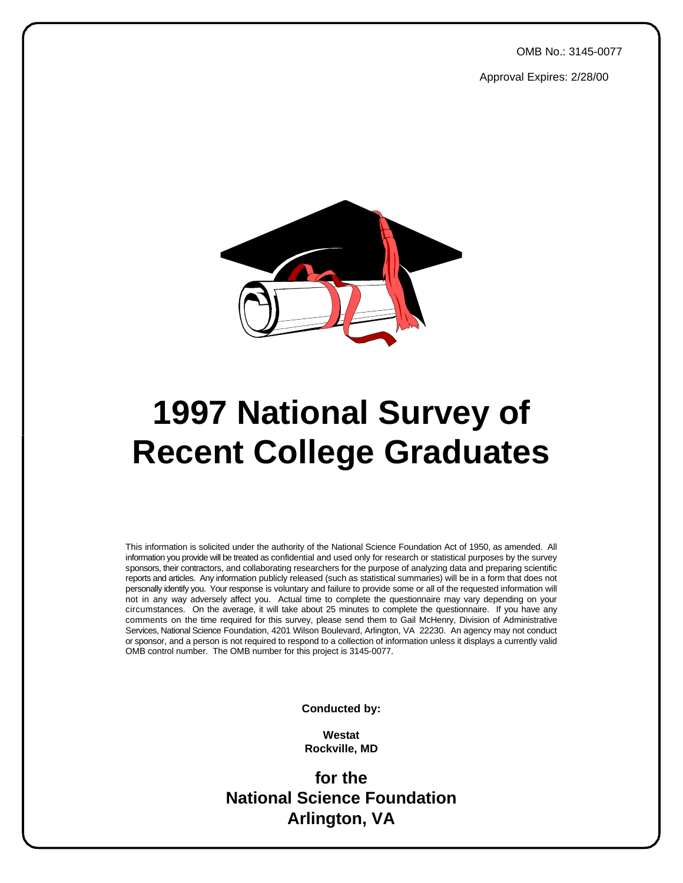OMB No.: 3145-0077

Approval Expires: 2/28/00



# **1997 National Survey of Recent College Graduates**

This information is solicited under the authority of the National Science Foundation Act of 1950, as amended. All information you provide will be treated as confidential and used only for research or statistical purposes by the survey sponsors, their contractors, and collaborating researchers for the purpose of analyzing data and preparing scientific reports and articles. Any information publicly released (such as statistical summaries) will be in a form that does not personally identify you. Your response is voluntary and failure to provide some or all of the requested information will not in any way adversely affect you. Actual time to complete the questionnaire may vary depending on your circumstances. On the average, it will take about 25 minutes to complete the questionnaire. If you have any comments on the time required for this survey, please send them to Gail McHenry, Division of Administrative Services, National Science Foundation, 4201 Wilson Boulevard, Arlington, VA 22230. An agency may not conduct or sponsor, and a person is not required to respond to a collection of information unless it displays a currently valid OMB control number. The OMB number for this project is 3145-0077.

**Conducted by:**

**Westat Rockville, MD**

**for the National Science Foundation Arlington, VA**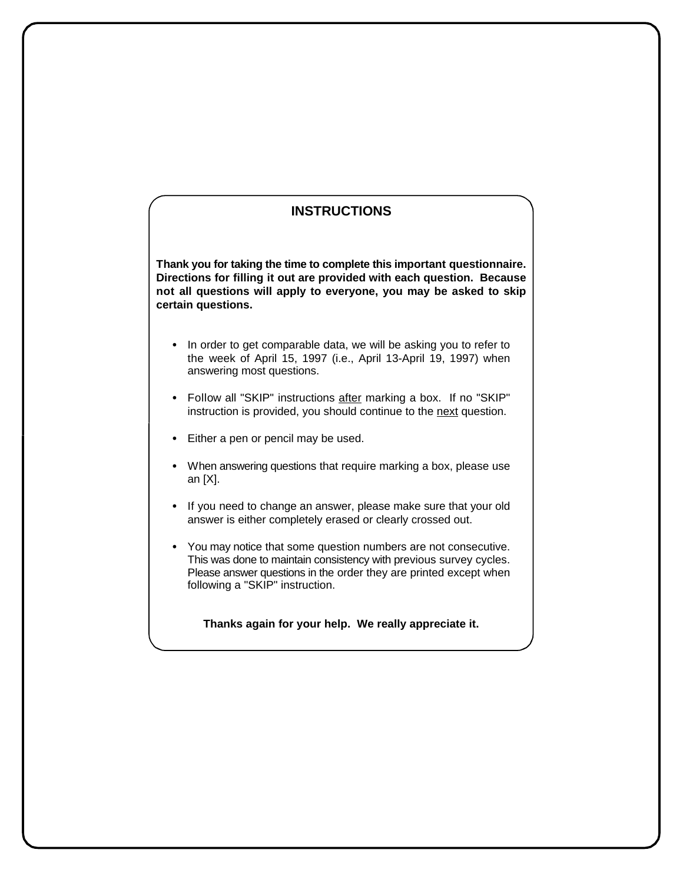# **INSTRUCTIONS**

**Thank you for taking the time to complete this important questionnaire. Directions for filling it out are provided with each question. Because not all questions will apply to everyone, you may be asked to skip certain questions.**

- In order to get comparable data, we will be asking you to refer to the week of April 15, 1997 (i.e., April 13-April 19, 1997) when answering most questions.
- Follow all "SKIP" instructions after marking a box. If no "SKIP" instruction is provided, you should continue to the next question.
- Either a pen or pencil may be used.
- When answering questions that require marking a box, please use an [X].
- If you need to change an answer, please make sure that your old answer is either completely erased or clearly crossed out.
- You may notice that some question numbers are not consecutive. This was done to maintain consistency with previous survey cycles. Please answer questions in the order they are printed except when following a "SKIP" instruction.

**Thanks again for your help. We really appreciate it.**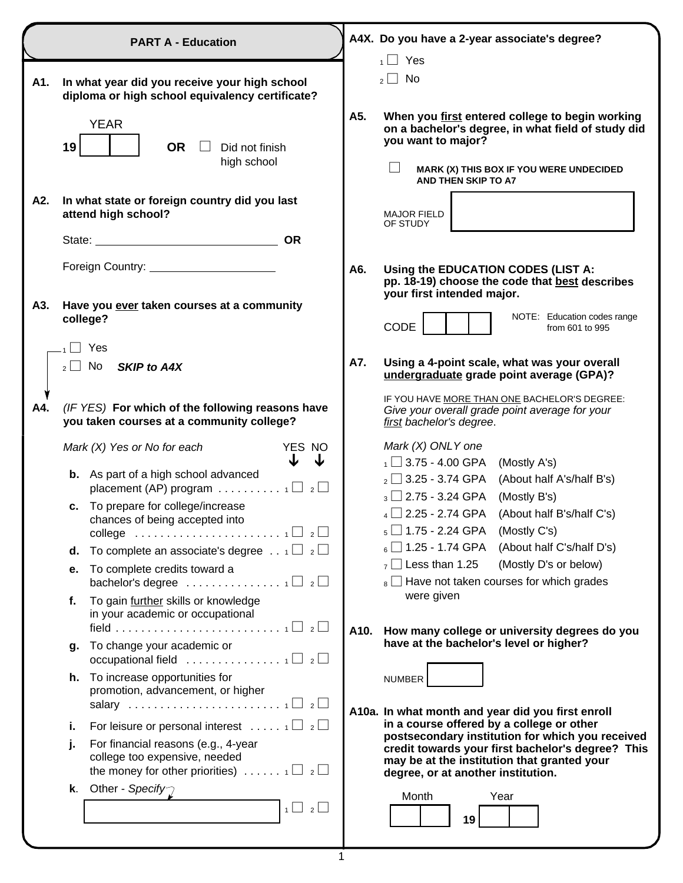|     | <b>PART A - Education</b>                                                                                                                           |     | A4X. Do you have a 2-year associate's degree?                                                                                                                                                 |
|-----|-----------------------------------------------------------------------------------------------------------------------------------------------------|-----|-----------------------------------------------------------------------------------------------------------------------------------------------------------------------------------------------|
| A1. | In what year did you receive your high school<br>diploma or high school equivalency certificate?                                                    |     | Yes<br>1<br>No<br>$2$                                                                                                                                                                         |
|     | <b>YEAR</b><br>19<br><b>OR</b><br>Did not finish<br>high school                                                                                     | A5. | When you first entered college to begin working<br>on a bachelor's degree, in what field of study did<br>you want to major?<br>MARK (X) THIS BOX IF YOU WERE UNDECIDED<br>AND THEN SKIP TO A7 |
| A2. | In what state or foreign country did you last<br>attend high school?                                                                                |     | <b>MAJOR FIELD</b><br>OF STUDY                                                                                                                                                                |
|     | <b>OR</b>                                                                                                                                           |     |                                                                                                                                                                                               |
|     |                                                                                                                                                     | A6. | Using the EDUCATION CODES (LIST A:<br>pp. 18-19) choose the code that best describes<br>your first intended major.                                                                            |
| A3. | Have you ever taken courses at a community<br>college?                                                                                              |     | NOTE: Education codes range<br><b>CODE</b><br>from 601 to 995                                                                                                                                 |
|     | Yes<br>$_2 \Box$ No<br><b>SKIP to A4X</b>                                                                                                           | A7. | Using a 4-point scale, what was your overall<br>undergraduate grade point average (GPA)?                                                                                                      |
| A4. | (IF YES) For which of the following reasons have<br>you taken courses at a community college?                                                       |     | IF YOU HAVE MORE THAN ONE BACHELOR'S DEGREE:<br>Give your overall grade point average for your<br>first bachelor's degree.                                                                    |
|     | YES NO<br>Mark $(X)$ Yes or No for each<br>J<br>J                                                                                                   |     | Mark (X) ONLY one<br>$\frac{1}{1}$ 3.75 - 4.00 GPA (Mostly A's)                                                                                                                               |
|     | <b>b.</b> As part of a high school advanced<br>placement (AP) program $\ldots \ldots \ldots \ldots \sqcap$ 2                                        |     | $_2$ $\Box$ 3.25 - 3.74 GPA<br>(About half A's/half B's)                                                                                                                                      |
|     | c. To prepare for college/increase<br>chances of being accepted into<br>college $\ldots \ldots \ldots \ldots \ldots \ldots \ldots \ldots \ldots$    |     | $_3$ $\Box$ 2.75 - 3.24 GPA<br>(Mostly B's)<br>$_4$ 2.25 - 2.74 GPA<br>(About half B's/half C's)<br>$_5\Box$ 1.75 - 2.24 GPA (Mostly C's)                                                     |
|     | To complete an associate's degree $\ldots$ 1 $\Box$ 2 $\Box$<br>d.                                                                                  |     | $_{\rm 6}$ $\Box$ 1.25 - 1.74 GPA<br>(About half C's/half D's)                                                                                                                                |
|     | To complete credits toward a<br>е.<br>bachelor's degree $\ldots \ldots \ldots \ldots \ldots \sqcap$ 2                                               |     | $_7$ Less than 1.25<br>(Mostly D's or below)<br>$_8$ $\Box$ Have not taken courses for which grades                                                                                           |
|     | To gain further skills or knowledge<br>f.<br>in your academic or occupational                                                                       |     | were given                                                                                                                                                                                    |
|     | To change your academic or                                                                                                                          |     | A10. How many college or university degrees do you<br>have at the bachelor's level or higher?                                                                                                 |
|     | g.<br>occupational field $\ldots \ldots \ldots \ldots \ldots \sqcap$ 2                                                                              |     |                                                                                                                                                                                               |
|     | h. To increase opportunities for<br>promotion, advancement, or higher                                                                               |     | NUMBER<br>A10a. In what month and year did you first enroll                                                                                                                                   |
|     | For leisure or personal interest $\ldots$ $\lceil \bigcup_{i=1}^{\infty}$<br>i.                                                                     |     | in a course offered by a college or other                                                                                                                                                     |
|     | For financial reasons (e.g., 4-year<br>j.<br>college too expensive, needed<br>the money for other priorities) $\ldots \ldots \cdot \sqcup z \sqcup$ |     | postsecondary institution for which you received<br>credit towards your first bachelor's degree? This<br>may be at the institution that granted your<br>degree, or at another institution.    |
|     | Other - Specify $\gamma$<br>k.<br>$1 \cup 2 \cup$                                                                                                   |     | Month<br>Year<br>19                                                                                                                                                                           |
|     |                                                                                                                                                     |     |                                                                                                                                                                                               |

1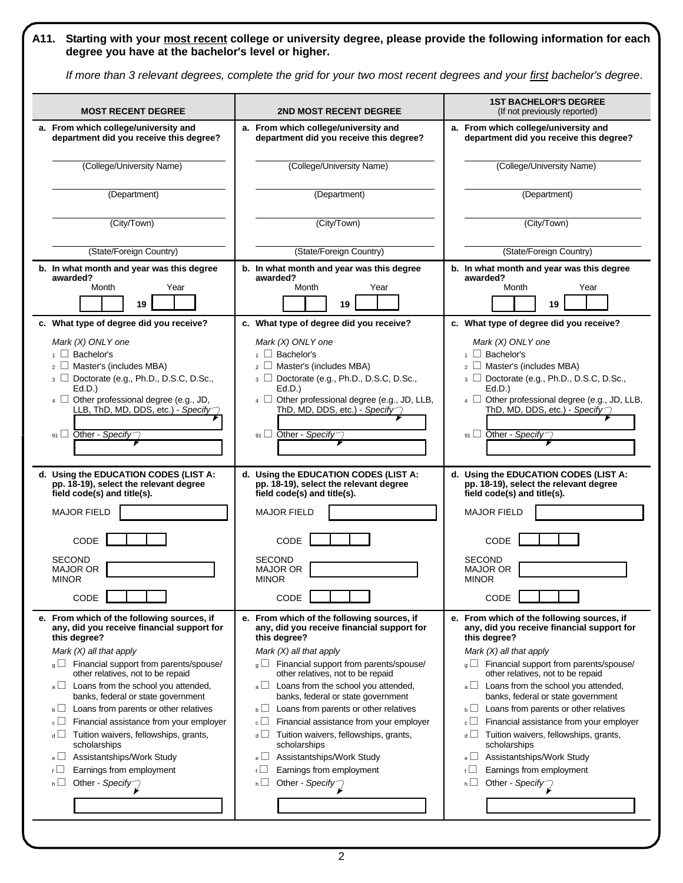# **A11. Starting with your most recent college or university degree, please provide the following information for each degree you have at the bachelor's level or higher.**

*If more than 3 relevant degrees, complete the grid for your two most recent degrees and your first bachelor's degree*.

| <b>MOST RECENT DEGREE</b>                     | <b>2ND MOST RECENT DEGREE</b>                     | <b>1ST BACHELOR'S DEGREE</b><br>(If not previously reported) |
|-----------------------------------------------|---------------------------------------------------|--------------------------------------------------------------|
| a. From which college/university and          | a. From which college/university and              | a. From which college/university and                         |
| department did you receive this degree?       | department did you receive this degree?           | department did you receive this degree?                      |
| (College/University Name)                     | (College/University Name)                         | (College/University Name)                                    |
| (Department)                                  | (Department)                                      | (Department)                                                 |
| (City/Town)                                   | (City/Town)                                       | (City/Town)                                                  |
| (State/Foreign Country)                       | (State/Foreign Country)                           | (State/Foreign Country)                                      |
| b. In what month and year was this degree     | b. In what month and year was this degree         | b. In what month and year was this degree                    |
| awarded?                                      | awarded?                                          | awarded?                                                     |
| Month                                         | Month                                             | Year                                                         |
| Year                                          | Year                                              | Month                                                        |
| 19                                            | 19                                                | 19                                                           |
| c. What type of degree did you receive?       | c. What type of degree did you receive?           | c. What type of degree did you receive?                      |
| Mark (X) ONLY one                             | Mark (X) ONLY one                                 | Mark (X) ONLY one                                            |
| $\overline{1}$ Bachelor's                     | $\overline{1}$ Bachelor's                         | $\overline{1}$ Bachelor's                                    |
| $_2$ $\Box$ Master's (includes MBA)           | $_2$ $\Box$ Master's (includes MBA)               | $_2$ $\Box$ Master's (includes MBA)                          |
| 3 Doctorate (e.g., Ph.D., D.S.C, D.Sc.,       | $_3$ $\Box$ Doctorate (e.g., Ph.D., D.S.C, D.Sc., | 3 Doctorate (e.g., Ph.D., D.S.C, D.Sc.,                      |
| Ed.D.                                         | Ed.D.)                                            | Ed.D.                                                        |
| 4 Other professional degree (e.g., JD,        | 4 Other professional degree (e.g., JD, LLB,       | 4 Other professional degree (e.g., JD, LLB,                  |
| LLB, ThD, MD, DDS, etc.) - Specify            | ThD, MD, DDS, etc.) - Specify                     | ThD, MD, DDS, etc.) - Specify                                |
| 91 Other - Specify                            | 91 Other - Specify                                | $91$ Other - Specify                                         |
| d. Using the EDUCATION CODES (LIST A:         | d. Using the EDUCATION CODES (LIST A:             | d. Using the EDUCATION CODES (LIST A:                        |
| pp. 18-19), select the relevant degree        | pp. 18-19), select the relevant degree            | pp. 18-19), select the relevant degree                       |
| field code(s) and title(s).                   | field code(s) and title(s).                       | field code(s) and title(s).                                  |
| <b>MAJOR FIELD</b>                            | <b>MAJOR FIELD</b>                                | <b>MAJOR FIELD</b>                                           |
| CODE                                          | CODE                                              | CODE                                                         |
| <b>SECOND</b>                                 | <b>SECOND</b>                                     | <b>SECOND</b>                                                |
| <b>MAJOR OR</b>                               | <b>MAJOR OR</b>                                   | <b>MAJOR OR</b>                                              |
| <b>MINOR</b>                                  | <b>MINOR</b>                                      | <b>MINOR</b>                                                 |
| CODE                                          | CODE                                              | CODE                                                         |
| e. From which of the following sources, if    | e. From which of the following sources, if        | e. From which of the following sources, if                   |
| any, did you receive financial support for    | any, did you receive financial support for        | any, did you receive financial support for                   |
| this degree?                                  | this degree?                                      | this degree?                                                 |
| Mark $(X)$ all that apply                     | Mark $(X)$ all that apply                         | Mark $(X)$ all that apply                                    |
| $_{g}$ Financial support from parents/spouse/ | $_{g}$ Financial support from parents/spouse/     | $\sqrt{q}$ Financial support from parents/spouse/            |
| other relatives, not to be repaid             | other relatives, not to be repaid                 | other relatives, not to be repaid                            |
| Loans from the school you attended,           | Loans from the school you attended,               | Loans from the school you attended,                          |
| $a \Box$                                      | $a \Box$                                          | $a \Box$                                                     |
| banks, federal or state government            | banks, federal or state government                | banks, federal or state government                           |
| Loans from parents or other relatives         | Loans from parents or other relatives             | Loans from parents or other relatives                        |
| $\mathbf{b}$                                  | $\mathsf{b} \sqcup$                               | $\mathsf{b} \sqcup$                                          |
| $\circ \Box$                                  | $\epsilon \Box$                                   | $\circ \Box$                                                 |
| Financial assistance from your employer       | Financial assistance from your employer           | Financial assistance from your employer                      |
| Tuition waivers, fellowships, grants,         | Tuition waivers, fellowships, grants,             | $d \Box$                                                     |
| $d \Box$                                      | $\overline{d}$                                    | Tuition waivers, fellowships, grants,                        |
| scholarships                                  | scholarships                                      | scholarships                                                 |
| Assistantships/Work Study                     | Assistantships/Work Study                         | Assistantships/Work Study                                    |
| $e \Box$                                      | $e \Box$                                          | $e \Box$                                                     |
| Earnings from employment                      | Earnings from employment                          | Earnings from employment                                     |
| $f \Box$                                      | $f \Box$                                          | $f \Box$                                                     |
| Other - Specify                               | hШ                                                | $h \Box$                                                     |
| $h \Box$                                      | Other - Specify                                   | Other - Specify                                              |
|                                               |                                                   |                                                              |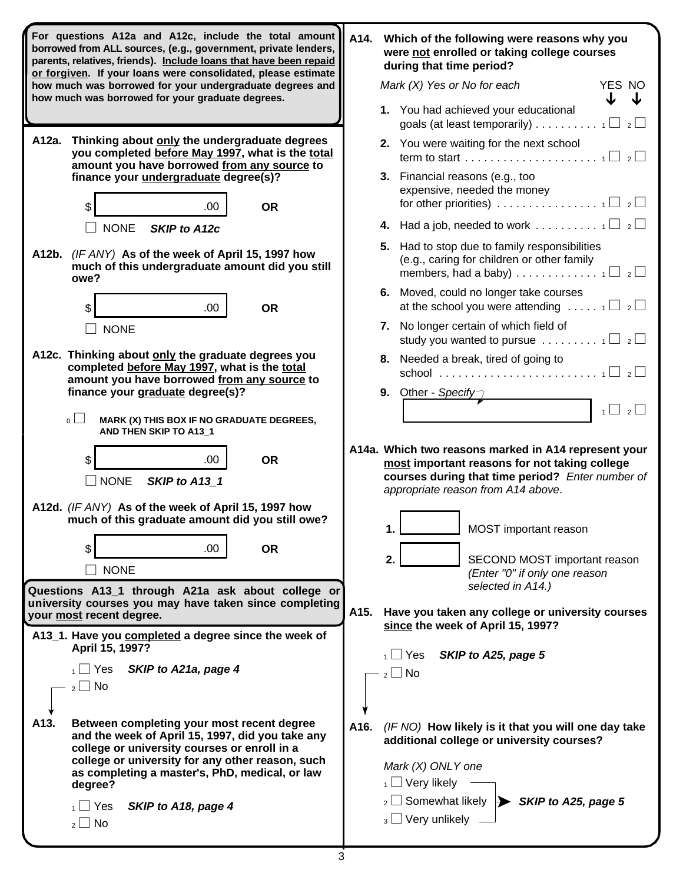| For questions A12a and A12c, include the total amount<br>borrowed from ALL sources, (e.g., government, private lenders,<br>parents, relatives, friends). Include loans that have been repaid<br>or forgiven. If your loans were consolidated, please estimate |                                                                                                                                                | A14. | Which of the following were reasons why you<br>were not enrolled or taking college courses<br>during that time period?                                                                          |  |  |
|---------------------------------------------------------------------------------------------------------------------------------------------------------------------------------------------------------------------------------------------------------------|------------------------------------------------------------------------------------------------------------------------------------------------|------|-------------------------------------------------------------------------------------------------------------------------------------------------------------------------------------------------|--|--|
|                                                                                                                                                                                                                                                               | how much was borrowed for your undergraduate degrees and<br>how much was borrowed for your graduate degrees.                                   |      | Mark (X) Yes or No for each<br>YES NO                                                                                                                                                           |  |  |
|                                                                                                                                                                                                                                                               |                                                                                                                                                |      | 1. You had achieved your educational<br>goals (at least temporarily) 1 $\Box$ 2 $\Box$                                                                                                          |  |  |
| A12a. Thinking about only the undergraduate degrees<br>you completed before May 1997, what is the total<br>amount you have borrowed from any source to                                                                                                        |                                                                                                                                                |      | 2. You were waiting for the next school                                                                                                                                                         |  |  |
| finance your undergraduate degree(s)?                                                                                                                                                                                                                         |                                                                                                                                                |      | 3. Financial reasons (e.g., too<br>expensive, needed the money                                                                                                                                  |  |  |
| \$<br>.00<br><b>NONE</b><br><b>SKIP to A12c</b>                                                                                                                                                                                                               | <b>OR</b>                                                                                                                                      |      | for other priorities) $\ldots \ldots \ldots \ldots \ldots \ldots$                                                                                                                               |  |  |
| A12b. (IF ANY) As of the week of April 15, 1997 how<br>much of this undergraduate amount did you still<br>owe?                                                                                                                                                |                                                                                                                                                |      | 5. Had to stop due to family responsibilities<br>(e.g., caring for children or other family<br>members, had a baby) $\ldots$ $\ldots$ $\ldots$ $\ldots$ $\ldots$ $\Box$ $\Box$                  |  |  |
| \$<br>.00                                                                                                                                                                                                                                                     | <b>OR</b>                                                                                                                                      |      | 6. Moved, could no longer take courses<br>at the school you were attending $\ldots$ $\ldots$ $\Box$ $\Box$                                                                                      |  |  |
| <b>NONE</b>                                                                                                                                                                                                                                                   |                                                                                                                                                | 7.   | No longer certain of which field of<br>study you wanted to pursue $\ldots \ldots \ldots \sqcap \square$ 2                                                                                       |  |  |
| A12c. Thinking about only the graduate degrees you<br>completed before May 1997, what is the total<br>amount you have borrowed from any source to                                                                                                             |                                                                                                                                                |      | 8. Needed a break, tired of going to                                                                                                                                                            |  |  |
| finance your graduate degree(s)?                                                                                                                                                                                                                              |                                                                                                                                                |      | 9. Other - Specify                                                                                                                                                                              |  |  |
| $\circ \Box$<br>MARK (X) THIS BOX IF NO GRADUATE DEGREES,<br>AND THEN SKIP TO A13_1                                                                                                                                                                           |                                                                                                                                                |      | $2 \perp$<br>$1 \Box$                                                                                                                                                                           |  |  |
| \$<br>.00.<br>$\square$ NONE<br>SKIP to A13 1                                                                                                                                                                                                                 | <b>OR</b>                                                                                                                                      |      | A14a. Which two reasons marked in A14 represent your<br>most important reasons for not taking college<br>courses during that time period? Enter number of<br>appropriate reason from A14 above. |  |  |
| A12d. (IF ANY) As of the week of April 15, 1997 how<br>much of this graduate amount did you still owe?                                                                                                                                                        |                                                                                                                                                |      | MOST important reason<br>1.                                                                                                                                                                     |  |  |
| .00<br>\$<br><b>NONE</b>                                                                                                                                                                                                                                      | <b>OR</b>                                                                                                                                      | 2.   | SECOND MOST important reason<br>(Enter "0" if only one reason                                                                                                                                   |  |  |
| Questions A13_1 through A21a ask about college or                                                                                                                                                                                                             |                                                                                                                                                |      | selected in A14.)                                                                                                                                                                               |  |  |
| university courses you may have taken since completing<br>your most recent degree.                                                                                                                                                                            |                                                                                                                                                | A15. | Have you taken any college or university courses<br>since the week of April 15, 1997?                                                                                                           |  |  |
| A13_1. Have you completed a degree since the week of<br>April 15, 1997?                                                                                                                                                                                       |                                                                                                                                                |      | SKIP to A25, page 5<br>$_1 \bigsqcup$ Yes                                                                                                                                                       |  |  |
| $_1$ $\Box$ Yes<br>SKIP to A21a, page 4<br>$_2 \square$ No                                                                                                                                                                                                    |                                                                                                                                                |      | $_2 \square$ No                                                                                                                                                                                 |  |  |
|                                                                                                                                                                                                                                                               |                                                                                                                                                |      |                                                                                                                                                                                                 |  |  |
| A13.                                                                                                                                                                                                                                                          | Between completing your most recent degree<br>and the week of April 15, 1997, did you take any<br>college or university courses or enroll in a | A16. | (IF NO) How likely is it that you will one day take<br>additional college or university courses?                                                                                                |  |  |
| college or university for any other reason, such<br>as completing a master's, PhD, medical, or law<br>degree?                                                                                                                                                 |                                                                                                                                                |      | Mark (X) ONLY one<br>$_1$ $\Box$ Very likely                                                                                                                                                    |  |  |
| $_1$ $\Box$ Yes<br>SKIP to A18, page 4<br>$_2 \square$ No                                                                                                                                                                                                     |                                                                                                                                                |      | $_2 \Box$ Somewhat likely $\blacktriangleright$ SKIP to A25, page 5<br>$_3$ $\Box$ Very unlikely                                                                                                |  |  |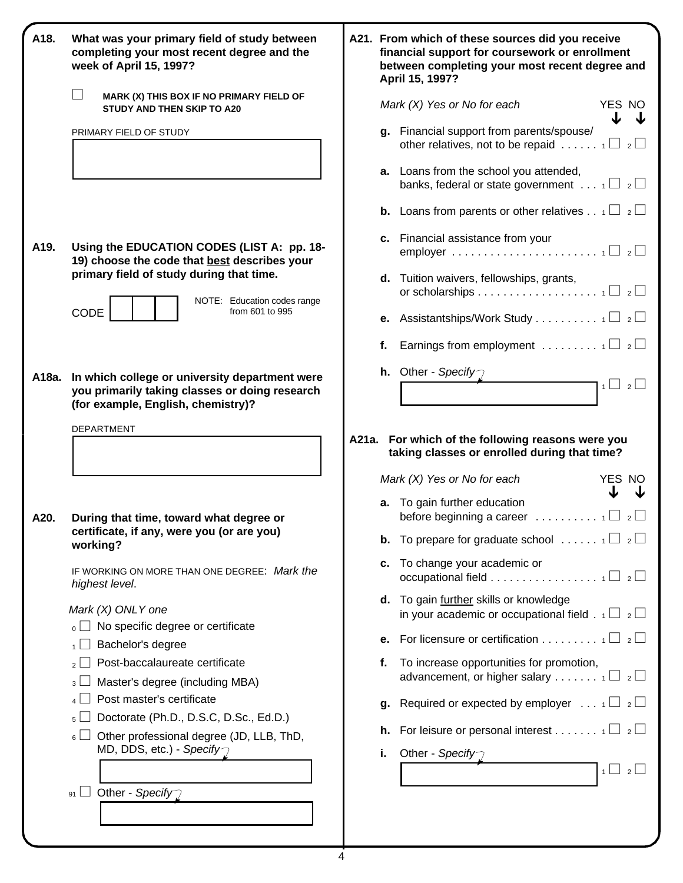| A18. | What was your primary field of study between<br>completing your most recent degree and the<br>week of April 15, 1997?                        |    | A21. From which of these sources did you receive<br>financial support for coursework or enrollment<br>between completing your most recent degree and<br>April 15, 1997?             |
|------|----------------------------------------------------------------------------------------------------------------------------------------------|----|-------------------------------------------------------------------------------------------------------------------------------------------------------------------------------------|
|      | MARK (X) THIS BOX IF NO PRIMARY FIELD OF<br>STUDY AND THEN SKIP TO A20                                                                       |    | Mark (X) Yes or No for each<br>YES NO                                                                                                                                               |
|      | PRIMARY FIELD OF STUDY                                                                                                                       |    | g. Financial support from parents/spouse/<br>other relatives, not to be repaid $1 \Box 2 \Box$                                                                                      |
|      |                                                                                                                                              |    | a. Loans from the school you attended,<br>banks, federal or state government $\ldots$ 1 $\Box$ 2                                                                                    |
|      |                                                                                                                                              |    | <b>b.</b> Loans from parents or other relatives $\frac{1}{12}$                                                                                                                      |
| A19. | Using the EDUCATION CODES (LIST A: pp. 18-<br>19) choose the code that best describes your                                                   |    | c. Financial assistance from your                                                                                                                                                   |
|      | primary field of study during that time.<br>NOTE: Education codes range                                                                      |    | d. Tuition waivers, fellowships, grants,                                                                                                                                            |
|      | CODE<br>from 601 to 995                                                                                                                      |    | <b>e.</b> Assistantships/Work Study 1 $\Box$ 2 $\Box$                                                                                                                               |
|      |                                                                                                                                              |    | <b>f.</b> Earnings from employment $\ldots \ldots \ldots \oplus \mathbb{Z}$                                                                                                         |
|      | A18a. In which college or university department were<br>you primarily taking classes or doing research<br>(for example, English, chemistry)? |    | <b>h.</b> Other - Specify<br>$1 \square 2 \square$                                                                                                                                  |
|      |                                                                                                                                              |    | A21a. For which of the following reasons were you<br>taking classes or enrolled during that time?<br>Mark $(X)$ Yes or No for each<br>YES NO<br><b>a.</b> To gain further education |
| A20. | During that time, toward what degree or<br>certificate, if any, were you (or are you)                                                        |    | before beginning a career $\ldots \ldots \ldots$<br>$\overline{2}$                                                                                                                  |
|      | working?<br>IF WORKING ON MORE THAN ONE DEGREE: Mark the<br>highest level.                                                                   |    | <b>b.</b> To prepare for graduate school $\ldots \ldots \cdot \square$ 2<br>c. To change your academic or<br>occupational field $\Box$ 2                                            |
|      | Mark (X) ONLY one<br>$\Box$ No specific degree or certificate                                                                                |    | d. To gain further skills or knowledge<br>in your academic or occupational field . $\frac{1}{1}$ $\Box$ 2                                                                           |
|      | Bachelor's degree                                                                                                                            |    | <b>e.</b> For licensure or certification 1 $\Box$ 2 $\Box$                                                                                                                          |
|      | Post-baccalaureate certificate<br>$\overline{2}$                                                                                             |    | f. To increase opportunities for promotion,                                                                                                                                         |
|      | Master's degree (including MBA)<br>3 <sup>1</sup>                                                                                            |    | advancement, or higher salary 1 $\Box$ 2 $\Box$                                                                                                                                     |
|      | Post master's certificate                                                                                                                    |    | <b>g.</b> Required or expected by employer $\ldots$ $\Box$ 2                                                                                                                        |
|      | Doctorate (Ph.D., D.S.C, D.Sc., Ed.D.)<br>5 <sup>1</sup><br>Other professional degree (JD, LLB, ThD,<br>6 <sup>1</sup>                       |    | <b>h.</b> For leisure or personal interest 1 $\Box$ 2                                                                                                                               |
|      | MD, DDS, etc.) - Specify $\gamma$                                                                                                            | i. | Other - Specify<br>$1 \cup 2$                                                                                                                                                       |
|      | 91 $\Box$ Other - Specify                                                                                                                    |    |                                                                                                                                                                                     |

|    | Mark (X) Yes or No for each<br>YES NO                                                                             |
|----|-------------------------------------------------------------------------------------------------------------------|
| q. | J<br>Financial support from parents/spouse/<br>other relatives, not to be repaid $\ldots \ldots \oplus z \square$ |
| а. | Loans from the school you attended,<br>banks, federal or state government $\ldots$ 1 $\Box$ 2 $\Box$              |
|    | <b>b.</b> Loans from parents or other relatives $1 \Box 2 \Box$                                                   |
|    | c. Financial assistance from your                                                                                 |
|    | d. Tuition waivers, fellowships, grants,                                                                          |
|    | <b>e.</b> Assistantships/Work Study 1 $\Box$ 2 $\Box$                                                             |
| f. | Earnings from employment $\ldots \ldots \ldots \sqcap \square$ 2                                                  |
|    | h. Other - Specify                                                                                                |
|    | $1 \mid 2 \mid$                                                                                                   |

|    | Mark (X) Yes or No for each                                                                                              | YES NO       |  |
|----|--------------------------------------------------------------------------------------------------------------------------|--------------|--|
|    | <b>a.</b> To gain further education<br>before beginning a career $\ldots \ldots \ldots \sqcap \square$ 2                 |              |  |
|    | <b>b.</b> To prepare for graduate school $\ldots \ldots \cdot 1 \square$ 2                                               |              |  |
|    | c. To change your academic or<br>occupational field $\,\ldots\,\ldots\,\ldots\,\ldots\,\ldots\,\,$ 1 $\Box\,\,$ 2 $\Box$ |              |  |
|    | <b>d.</b> To gain <i>further</i> skills or knowledge<br>in your academic or occupational field $\Box$ $\Box$ $\Box$      |              |  |
|    | <b>e.</b> For licensure or certification 1 $\Box$ 2 $\Box$                                                               |              |  |
| f. | To increase opportunities for promotion,<br>advancement, or higher salary 1 $\Box$ 2 $\Box$                              |              |  |
| q. | Required or expected by employer $\ldots$ $1 \square$ $2 \square$                                                        |              |  |
|    | <b>h.</b> For leisure or personal interest $\Box$ 2                                                                      |              |  |
| i. | Other - Specify                                                                                                          |              |  |
|    |                                                                                                                          | $\mathbf{1}$ |  |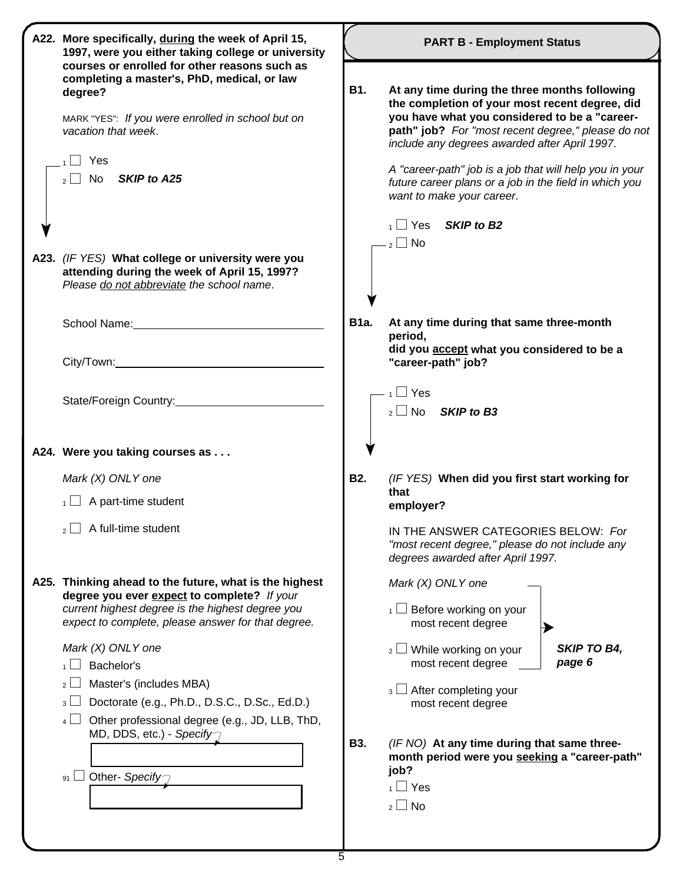| A22. More specifically, during the week of April 15,<br>1997, were you either taking college or university                                                                                                                                                                                                                                                                                                                                                                       | <b>PART B - Employment Status</b> |                                                                                                                                                                                                                                                                                                                                                                                                           |  |
|----------------------------------------------------------------------------------------------------------------------------------------------------------------------------------------------------------------------------------------------------------------------------------------------------------------------------------------------------------------------------------------------------------------------------------------------------------------------------------|-----------------------------------|-----------------------------------------------------------------------------------------------------------------------------------------------------------------------------------------------------------------------------------------------------------------------------------------------------------------------------------------------------------------------------------------------------------|--|
| courses or enrolled for other reasons such as<br>completing a master's, PhD, medical, or law<br>degree?<br>MARK "YES": If you were enrolled in school but on<br>vacation that week.<br>Yes<br>$_2$ No SKIP to A25                                                                                                                                                                                                                                                                | <b>B1.</b>                        | At any time during the three months following<br>the completion of your most recent degree, did<br>you have what you considered to be a "career-<br>path" job? For "most recent degree," please do not<br>include any degrees awarded after April 1997.<br>A "career-path" job is a job that will help you in your<br>future career plans or a job in the field in which you<br>want to make your career. |  |
| A23. (IF YES) What college or university were you<br>attending during the week of April 15, 1997?<br>Please do not abbreviate the school name.                                                                                                                                                                                                                                                                                                                                   |                                   | $_1 \Box$ Yes<br>SKIP to B <sub>2</sub><br>$\overline{2}$ No                                                                                                                                                                                                                                                                                                                                              |  |
| School Name: Manual Manual Manual Manual Manual Manual Manual Manual Manual Manual Manual Manual Manual Manual                                                                                                                                                                                                                                                                                                                                                                   | <b>B1a.</b>                       | At any time during that same three-month<br>period,<br>did you accept what you considered to be a<br>"career-path" job?                                                                                                                                                                                                                                                                                   |  |
| State/Foreign Country:<br><u>State/Foreign Country:</u>                                                                                                                                                                                                                                                                                                                                                                                                                          |                                   | $\overline{1}$ Yes<br>$_2 \Box$ No<br><b>SKIP to B3</b>                                                                                                                                                                                                                                                                                                                                                   |  |
| A24. Were you taking courses as                                                                                                                                                                                                                                                                                                                                                                                                                                                  |                                   |                                                                                                                                                                                                                                                                                                                                                                                                           |  |
| Mark $(X)$ ONLY one<br>$\overline{1}$ A part-time student                                                                                                                                                                                                                                                                                                                                                                                                                        | <b>B2.</b>                        | (IF YES) When did you first start working for<br>that<br>employer?                                                                                                                                                                                                                                                                                                                                        |  |
| $_2$ A full-time student                                                                                                                                                                                                                                                                                                                                                                                                                                                         |                                   | IN THE ANSWER CATEGORIES BELOW: For<br>"most recent degree," please do not include any<br>degrees awarded after April 1997.                                                                                                                                                                                                                                                                               |  |
| A25. Thinking ahead to the future, what is the highest<br>degree you ever expect to complete? If your<br>current highest degree is the highest degree you<br>expect to complete, please answer for that degree.<br>Mark (X) ONLY one<br>Bachelor's<br>Master's (includes MBA)<br>2 L<br>Doctorate (e.g., Ph.D., D.S.C., D.Sc., Ed.D.)<br>$3 \Box$<br>Other professional degree (e.g., JD, LLB, ThD,<br>$4$ $\Box$<br>MD, DDS, etc.) - Specify $\gamma$<br>Other- Specify<br>91 L | <b>B3.</b>                        | Mark (X) ONLY one<br>$\frac{1}{1}$ Before working on your<br>most recent degree<br>SKIP TO B4,<br>$2 \Box$ While working on your<br>page 6<br>most recent degree<br>$_3 \sqcup$ After completing your<br>most recent degree<br>(IF NO) At any time during that same three-<br>month period were you seeking a "career-path"<br>job?<br>$\overline{1}$ Yes<br>$_2 \square$ No                              |  |
|                                                                                                                                                                                                                                                                                                                                                                                                                                                                                  |                                   |                                                                                                                                                                                                                                                                                                                                                                                                           |  |

5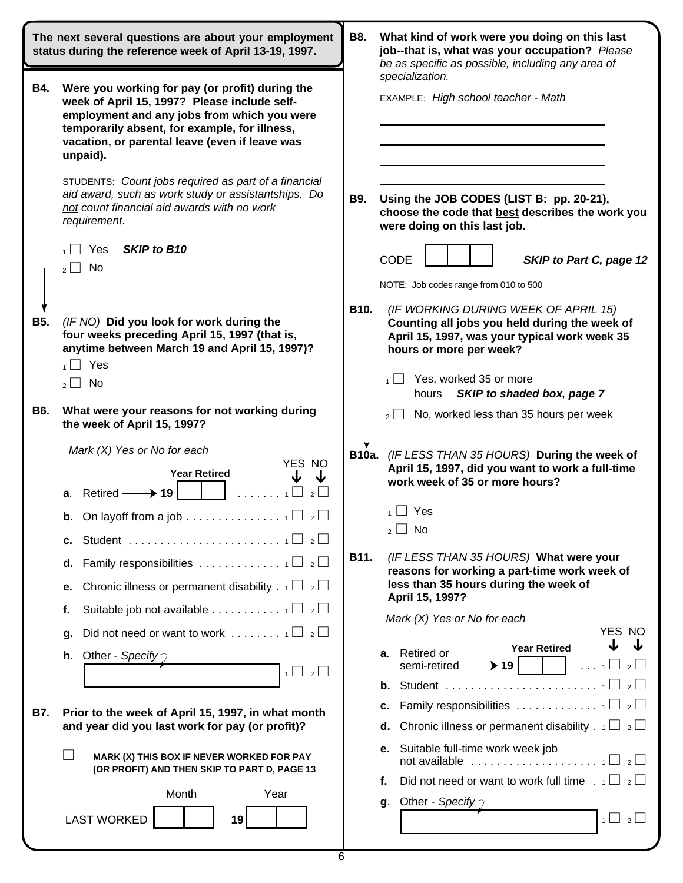| The next several questions are about your employment<br>status during the reference week of April 13-19, 1997. |                                                                                                                                                                                                                                                               | <b>B8.</b><br>What kind of work were you doing on this last<br>job--that is, what was your occupation? Please<br>be as specific as possible, including any area of        |                                                            |
|----------------------------------------------------------------------------------------------------------------|---------------------------------------------------------------------------------------------------------------------------------------------------------------------------------------------------------------------------------------------------------------|---------------------------------------------------------------------------------------------------------------------------------------------------------------------------|------------------------------------------------------------|
| <b>B4.</b>                                                                                                     | Were you working for pay (or profit) during the<br>week of April 15, 1997? Please include self-<br>employment and any jobs from which you were<br>temporarily absent, for example, for illness,<br>vacation, or parental leave (even if leave was<br>unpaid). | specialization.<br>EXAMPLE: High school teacher - Math                                                                                                                    |                                                            |
|                                                                                                                | STUDENTS: Count jobs required as part of a financial<br>aid award, such as work study or assistantships. Do<br>not count financial aid awards with no work<br>requirement.                                                                                    | Using the JOB CODES (LIST B: pp. 20-21),<br>B9.<br>choose the code that best describes the work you<br>were doing on this last job.                                       |                                                            |
|                                                                                                                | SKIP to B10<br>Yes<br>No<br>2 <sup>1</sup>                                                                                                                                                                                                                    | <b>CODE</b><br>NOTE: Job codes range from 010 to 500                                                                                                                      | SKIP to Part C, page 12                                    |
| <b>B5.</b>                                                                                                     | (IF NO) Did you look for work during the<br>four weeks preceding April 15, 1997 (that is,<br>anytime between March 19 and April 15, 1997)?<br>Yes<br>$\blacksquare$                                                                                           | B10.<br>(IF WORKING DURING WEEK OF APRIL 15)<br>Counting all jobs you held during the week of<br>April 15, 1997, was your typical work week 35<br>hours or more per week? |                                                            |
|                                                                                                                | No<br>$\mathcal{P}$<br>$\mathbf{I}$                                                                                                                                                                                                                           | Yes, worked 35 or more<br>hours                                                                                                                                           | SKIP to shaded box, page 7                                 |
| <b>B6.</b>                                                                                                     | What were your reasons for not working during<br>the week of April 15, 1997?                                                                                                                                                                                  | No, worked less than 35 hours per week<br>$2$   $\overline{\phantom{0}}$                                                                                                  |                                                            |
|                                                                                                                | Mark $(X)$ Yes or No for each<br>YES NO<br><b>Year Retired</b><br>$a.$ Retired –<br>$\blacktriangleright$ 19                                                                                                                                                  | B10a. (IF LESS THAN 35 HOURS) During the week of<br>April 15, 1997, did you want to work a full-time<br>work week of 35 or more hours?                                    |                                                            |
|                                                                                                                | <b>b.</b> On layoff from a job $\ldots \ldots \ldots$<br>$\overline{2}$<br>с.                                                                                                                                                                                 | ∣ Yes<br>1 <sup>1</sup><br>No<br>$\overline{\phantom{a}}$<br>2 <sup>1</sup>                                                                                               |                                                            |
|                                                                                                                | d.<br>Chronic illness or permanent disability . $1 \Box 2 \Box$<br>е.                                                                                                                                                                                         | B11.<br>(IF LESS THAN 35 HOURS) What were your<br>reasons for working a part-time work week of<br>less than 35 hours during the week of<br>April 15, 1997?                |                                                            |
|                                                                                                                | Suitable job not available 1 $\Box$ 2 $\Box$<br>f.<br>g.                                                                                                                                                                                                      | Mark (X) Yes or No for each                                                                                                                                               | YES NO                                                     |
|                                                                                                                | <b>h.</b> Other - Specify<br>$1 \cup 2$                                                                                                                                                                                                                       | Retired or<br>а.<br>$\rightarrow$ 19 $\vdash$<br>semi-retired -                                                                                                           | <b>Year Retired</b><br>$\overline{2}$<br>$\ldots$ 1 $\Box$ |
| B7.                                                                                                            | Prior to the week of April 15, 1997, in what month<br>and year did you last work for pay (or profit)?                                                                                                                                                         | с.<br>Chronic illness or permanent disability . $1 \Box 2 \Box$<br>d.                                                                                                     |                                                            |
|                                                                                                                | MARK (X) THIS BOX IF NEVER WORKED FOR PAY<br>(OR PROFIT) AND THEN SKIP TO PART D, PAGE 13                                                                                                                                                                     | Suitable full-time work week job<br>е.<br>not available $\ldots \ldots \ldots \ldots \ldots \ldots \ldots \sqcup \_2 \square$                                             |                                                            |
|                                                                                                                | Month<br>Year<br><b>LAST WORKED</b><br>19                                                                                                                                                                                                                     | Did not need or want to work full time $\Box$ $\Box$ $\Box$<br>f.<br>Other - Specify<br>g.                                                                                | $1 \cup 2$                                                 |
|                                                                                                                |                                                                                                                                                                                                                                                               |                                                                                                                                                                           |                                                            |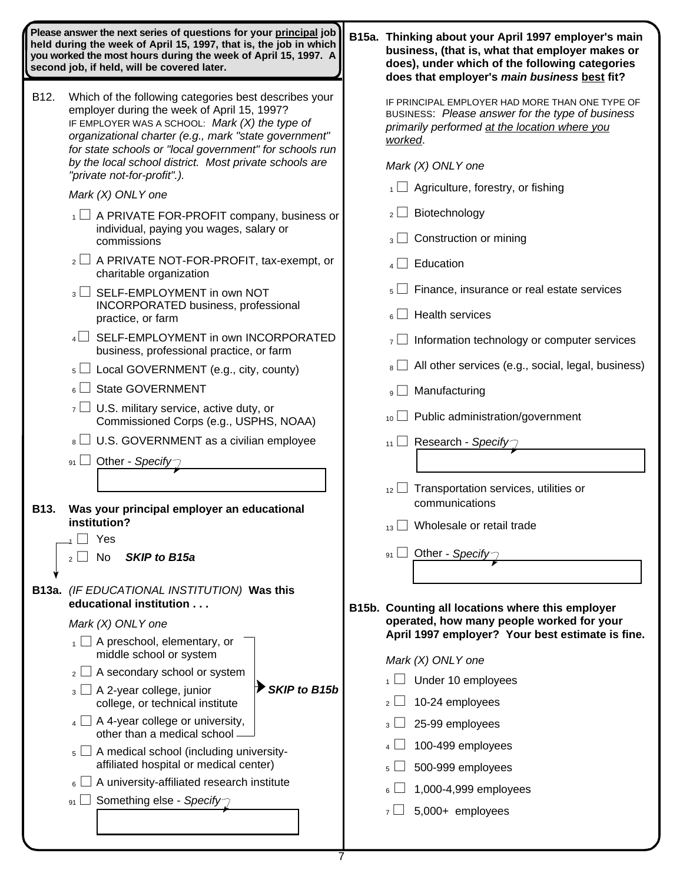| Please answer the next series of questions for your principal job<br>held during the week of April 15, 1997, that is, the job in which<br>you worked the most hours during the week of April 15, 1997. A<br>second job, if held, will be covered later. |                                                                                                                                                                                                                                                                            | B15a. Thinking about your April 1997 employer's main<br>business, (that is, what that employer makes or<br>does), under which of the following categories<br>does that employer's main business best fit? |
|---------------------------------------------------------------------------------------------------------------------------------------------------------------------------------------------------------------------------------------------------------|----------------------------------------------------------------------------------------------------------------------------------------------------------------------------------------------------------------------------------------------------------------------------|-----------------------------------------------------------------------------------------------------------------------------------------------------------------------------------------------------------|
| B12.                                                                                                                                                                                                                                                    | Which of the following categories best describes your<br>employer during the week of April 15, 1997?<br>IF EMPLOYER WAS A SCHOOL: Mark (X) the type of<br>organizational charter (e.g., mark "state government"<br>for state schools or "local government" for schools run | IF PRINCIPAL EMPLOYER HAD MORE THAN ONE TYPE OF<br>BUSINESS: Please answer for the type of business<br>primarily performed at the location where you<br>worked.                                           |
|                                                                                                                                                                                                                                                         | by the local school district. Most private schools are<br>"private not-for-profit".).                                                                                                                                                                                      | Mark (X) ONLY one                                                                                                                                                                                         |
|                                                                                                                                                                                                                                                         | Mark (X) ONLY one                                                                                                                                                                                                                                                          | $\overline{A}$ Agriculture, forestry, or fishing                                                                                                                                                          |
|                                                                                                                                                                                                                                                         | $\overline{A}$ $\Box$ A PRIVATE FOR-PROFIT company, business or<br>individual, paying you wages, salary or<br>commissions                                                                                                                                                  | Biotechnology<br>$2 \lfloor$<br>Construction or mining<br>$3 \lfloor \rfloor$                                                                                                                             |
|                                                                                                                                                                                                                                                         | $_2\Box$ A PRIVATE NOT-FOR-PROFIT, tax-exempt, or<br>charitable organization                                                                                                                                                                                               | Education<br>$4\sqrt{ }$                                                                                                                                                                                  |
|                                                                                                                                                                                                                                                         | $_3$ SELF-EMPLOYMENT in own NOT                                                                                                                                                                                                                                            | Finance, insurance or real estate services<br>5 <sup>1</sup>                                                                                                                                              |
|                                                                                                                                                                                                                                                         | INCORPORATED business, professional<br>practice, or farm                                                                                                                                                                                                                   | <b>Health services</b><br>$6^{\text{}}$                                                                                                                                                                   |
|                                                                                                                                                                                                                                                         | SELF-EMPLOYMENT in own INCORPORATED<br>business, professional practice, or farm                                                                                                                                                                                            | Information technology or computer services<br>$7$ $\Box$                                                                                                                                                 |
|                                                                                                                                                                                                                                                         | $\mathfrak{s}$ $\Box$ Local GOVERNMENT (e.g., city, county)                                                                                                                                                                                                                | All other services (e.g., social, legal, business)<br>$8 \perp$                                                                                                                                           |
|                                                                                                                                                                                                                                                         | <b>State GOVERNMENT</b><br>$\lceil$   a                                                                                                                                                                                                                                    | Manufacturing<br>$9 \lfloor$                                                                                                                                                                              |
|                                                                                                                                                                                                                                                         | $\overline{z}$ U.S. military service, active duty, or<br>Commissioned Corps (e.g., USPHS, NOAA)                                                                                                                                                                            | Public administration/government<br>10 <sup>1</sup>                                                                                                                                                       |
|                                                                                                                                                                                                                                                         | $\vert s \vert$ U.S. GOVERNMENT as a civilian employee                                                                                                                                                                                                                     | $_{11}$ Research - Specify                                                                                                                                                                                |
|                                                                                                                                                                                                                                                         | 91 $\Box$ Other - Specify                                                                                                                                                                                                                                                  |                                                                                                                                                                                                           |
|                                                                                                                                                                                                                                                         |                                                                                                                                                                                                                                                                            | Transportation services, utilities or<br>12                                                                                                                                                               |
| <b>B13.</b>                                                                                                                                                                                                                                             | Was your principal employer an educational                                                                                                                                                                                                                                 | communications                                                                                                                                                                                            |
|                                                                                                                                                                                                                                                         | institution?<br>Yes                                                                                                                                                                                                                                                        | Wholesale or retail trade<br>13 <sup>L</sup>                                                                                                                                                              |
|                                                                                                                                                                                                                                                         | SKIP to B15a<br>No.<br>$\overline{2}$                                                                                                                                                                                                                                      | Other - Specify-<br>91                                                                                                                                                                                    |
|                                                                                                                                                                                                                                                         | B13a. (IF EDUCATIONAL INSTITUTION) Was this                                                                                                                                                                                                                                |                                                                                                                                                                                                           |
|                                                                                                                                                                                                                                                         | educational institution                                                                                                                                                                                                                                                    | B15b. Counting all locations where this employer                                                                                                                                                          |
|                                                                                                                                                                                                                                                         | Mark (X) ONLY one                                                                                                                                                                                                                                                          | operated, how many people worked for your<br>April 1997 employer? Your best estimate is fine.                                                                                                             |
|                                                                                                                                                                                                                                                         | $_1 \square$ A preschool, elementary, or<br>middle school or system                                                                                                                                                                                                        | Mark (X) ONLY one                                                                                                                                                                                         |
|                                                                                                                                                                                                                                                         | A secondary school or system<br>2 <sup>1</sup>                                                                                                                                                                                                                             | Under 10 employees                                                                                                                                                                                        |
|                                                                                                                                                                                                                                                         | <b>SKIP to B15b</b><br>$_3$ $\Box$ A 2-year college, junior<br>college, or technical institute                                                                                                                                                                             | 10-24 employees<br>2 <sup>1</sup>                                                                                                                                                                         |
|                                                                                                                                                                                                                                                         | $_4$ $\Box$ A 4-year college or university,<br>other than a medical school -                                                                                                                                                                                               | 25-99 employees<br>3 <sup>1</sup>                                                                                                                                                                         |
|                                                                                                                                                                                                                                                         | $_5$ $\Box$ A medical school (including university-<br>affiliated hospital or medical center)                                                                                                                                                                              | 100-499 employees                                                                                                                                                                                         |
|                                                                                                                                                                                                                                                         | $_6$ $\Box$ A university-affiliated research institute                                                                                                                                                                                                                     | 500-999 employees<br>5 <sup>1</sup>                                                                                                                                                                       |
|                                                                                                                                                                                                                                                         | 91 Something else - Specify                                                                                                                                                                                                                                                | 1,000-4,999 employees                                                                                                                                                                                     |
|                                                                                                                                                                                                                                                         |                                                                                                                                                                                                                                                                            | $7 \Box$ 5,000+ employees                                                                                                                                                                                 |

7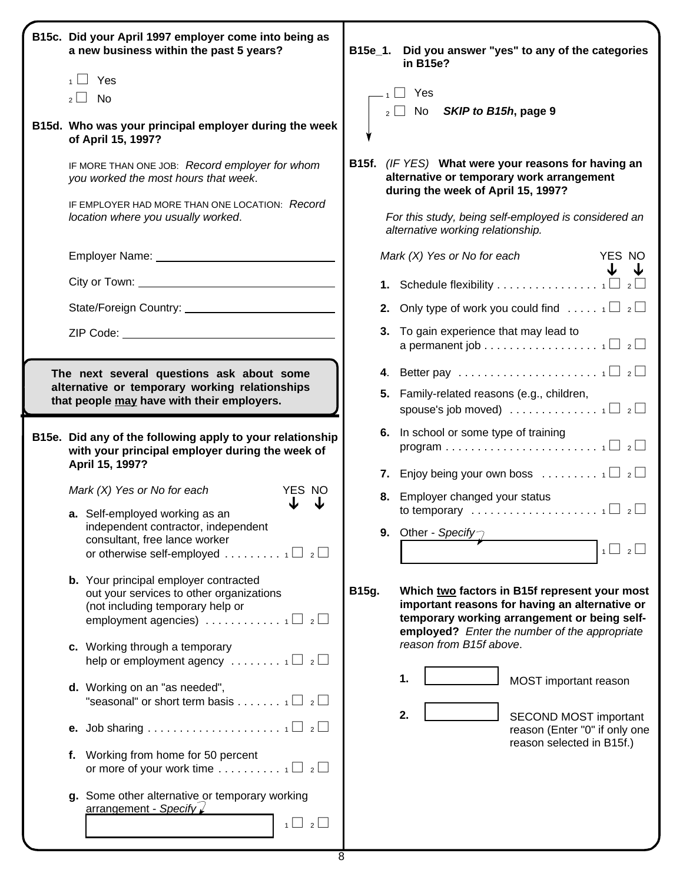| B15c. Did your April 1997 employer come into being as<br>a new business within the past 5 years?                                                                                                     | B15e_1. | Did you answer "yes" to any of the categories<br>in B15e?                                                                                                                                        |
|------------------------------------------------------------------------------------------------------------------------------------------------------------------------------------------------------|---------|--------------------------------------------------------------------------------------------------------------------------------------------------------------------------------------------------|
| $\Box$ Yes                                                                                                                                                                                           |         |                                                                                                                                                                                                  |
| $_2 \Box$ No                                                                                                                                                                                         |         | $\Box$ Yes                                                                                                                                                                                       |
| B15d. Who was your principal employer during the week<br>of April 15, 1997?                                                                                                                          |         | SKIP to B15h, page 9<br>$_2 \bigsqcup$ No                                                                                                                                                        |
| IF MORE THAN ONE JOB: Record employer for whom<br>you worked the most hours that week.                                                                                                               |         | B15f. (IF YES) What were your reasons for having an<br>alternative or temporary work arrangement<br>during the week of April 15, 1997?                                                           |
| IF EMPLOYER HAD MORE THAN ONE LOCATION: Record<br>location where you usually worked.                                                                                                                 |         | For this study, being self-employed is considered an<br>alternative working relationship.                                                                                                        |
|                                                                                                                                                                                                      |         | Mark $(X)$ Yes or No for each<br>YES NO                                                                                                                                                          |
|                                                                                                                                                                                                      |         | <b>1.</b> Schedule flexibility 1 $\Box$ 2 $\Box$                                                                                                                                                 |
|                                                                                                                                                                                                      |         | <b>2.</b> Only type of work you could find $\ldots$ $\lceil \frac{1}{2} \rceil$                                                                                                                  |
|                                                                                                                                                                                                      |         | 3. To gain experience that may lead to<br>a permanent job 1 $\Box$ 2 $\Box$                                                                                                                      |
| The next several questions ask about some                                                                                                                                                            |         | 4. Better pay $\ldots \ldots \ldots \ldots \ldots \ldots \ldots \ldots$                                                                                                                          |
| alternative or temporary working relationships<br>that people may have with their employers.                                                                                                         |         | 5. Family-related reasons (e.g., children,<br>spouse's job moved) $\ldots \ldots \ldots \ldots \ldots \sqcup \square$                                                                            |
| B15e. Did any of the following apply to your relationship<br>with your principal employer during the week of                                                                                         |         | 6. In school or some type of training                                                                                                                                                            |
| April 15, 1997?                                                                                                                                                                                      |         | 7. Enjoy being your own boss $\ldots \ldots \ldots \oplus \mathbb{Z}$                                                                                                                            |
| Mark $(X)$ Yes or No for each<br>YES NO                                                                                                                                                              |         | 8. Employer changed your status                                                                                                                                                                  |
| a. Self-employed working as an<br>independent contractor, independent                                                                                                                                |         | to temporary $\ldots \ldots \ldots \ldots \ldots \ldots \ldots \vdash 1 \square \neg 2 \square$<br>9. Other - Specify                                                                            |
| consultant, free lance worker<br>or otherwise self-employed $\ldots \ldots \ldots \ldots$                                                                                                            |         | $\overline{2}$<br>$1 \Box$                                                                                                                                                                       |
| <b>b.</b> Your principal employer contracted<br>out your services to other organizations<br>(not including temporary help or<br>employment agencies) $\ldots \ldots \ldots \ldots \oplus \mathbb{Z}$ | B15g.   | Which two factors in B15f represent your most<br>important reasons for having an alternative or<br>temporary working arrangement or being self-<br>employed? Enter the number of the appropriate |
| c. Working through a temporary<br>help or employment agency $\ldots \ldots \ldots \sqcap \square$ 2                                                                                                  |         | reason from B15f above.                                                                                                                                                                          |
| d. Working on an "as needed",<br>"seasonal" or short term basis 1 $\Box$ 2 $\Box$                                                                                                                    |         | 1.<br>MOST important reason                                                                                                                                                                      |
|                                                                                                                                                                                                      |         | 2.<br>SECOND MOST important<br>reason (Enter "0" if only one                                                                                                                                     |
| f. Working from home for 50 percent                                                                                                                                                                  |         | reason selected in B15f.)                                                                                                                                                                        |
| g. Some other alternative or temporary working<br>arrangement - Specify<br>$1 \cup 2 \cup$                                                                                                           |         |                                                                                                                                                                                                  |
|                                                                                                                                                                                                      |         |                                                                                                                                                                                                  |
| 8                                                                                                                                                                                                    |         |                                                                                                                                                                                                  |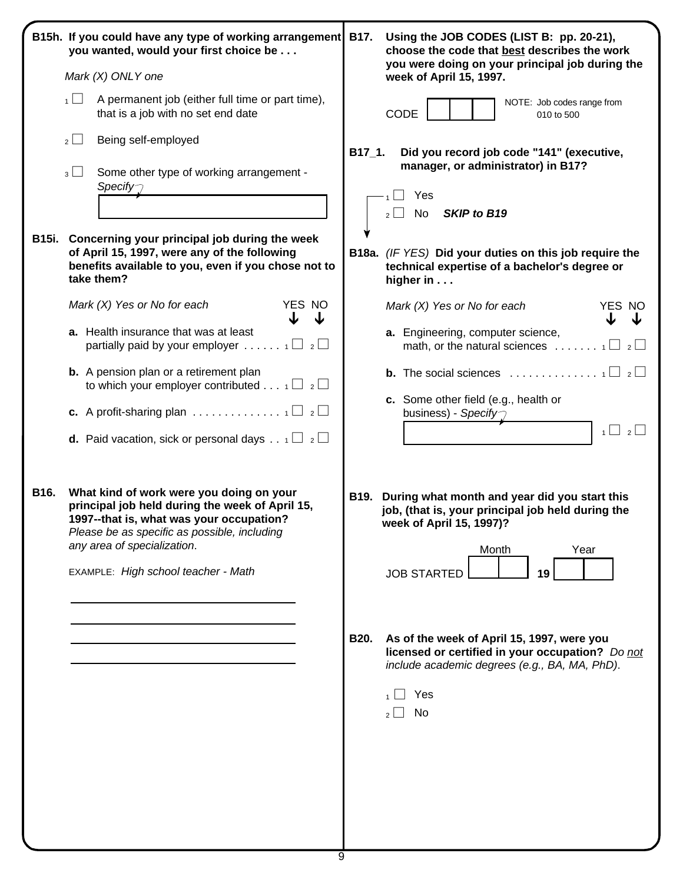|      | B15h. If you could have any type of working arrangement<br>you wanted, would your first choice be<br>Mark (X) ONLY one<br>A permanent job (either full time or part time),<br>1<br>that is a job with no set end date<br>$\overline{2}$<br>Being self-employed<br>$_3\Box$<br>Some other type of working arrangement -<br>Specify $\supset$<br>B15i. Concerning your principal job during the week<br>of April 15, 1997, were any of the following<br>benefits available to you, even if you chose not to<br>take them?<br>YES NO<br>Mark $(X)$ Yes or No for each<br>↓<br>a. Health insurance that was at least<br>partially paid by your employer $1 \Box 2 \Box$<br><b>b.</b> A pension plan or a retirement plan<br>to which your employer contributed $\frac{1}{2}$ $\Box$<br><b>c.</b> A profit-sharing plan $\ldots \ldots \ldots \ldots \ldots \ldots \sqcap \square$ 2 | B17.<br>Using the JOB CODES (LIST B: pp. 20-21),<br>choose the code that best describes the work<br>you were doing on your principal job during the<br>week of April 15, 1997.<br>NOTE: Job codes range from<br>CODE<br>010 to 500<br>$B17_1.$<br>Did you record job code "141" (executive,<br>manager, or administrator) in B17?<br>Yes<br><b>SKIP to B19</b><br>No<br>$2^{\vert \cdot \vert}$<br>B18a. (IF YES) Did your duties on this job require the<br>technical expertise of a bachelor's degree or<br>higher in $\dots$<br>YES NO<br>Mark $(X)$ Yes or No for each<br>J<br>↓<br>a. Engineering, computer science,<br>math, or the natural sciences $\ldots \ldots \ldots \sqcup \square$<br><b>b.</b> The social sciences $\ldots \ldots \ldots \ldots \ldots \vdots$<br>c. Some other field (e.g., health or<br>business) - Specify $\gamma$<br>$1 \cup 2 \cup$ |
|------|---------------------------------------------------------------------------------------------------------------------------------------------------------------------------------------------------------------------------------------------------------------------------------------------------------------------------------------------------------------------------------------------------------------------------------------------------------------------------------------------------------------------------------------------------------------------------------------------------------------------------------------------------------------------------------------------------------------------------------------------------------------------------------------------------------------------------------------------------------------------------------|--------------------------------------------------------------------------------------------------------------------------------------------------------------------------------------------------------------------------------------------------------------------------------------------------------------------------------------------------------------------------------------------------------------------------------------------------------------------------------------------------------------------------------------------------------------------------------------------------------------------------------------------------------------------------------------------------------------------------------------------------------------------------------------------------------------------------------------------------------------------------|
| B16. | <b>d.</b> Paid vacation, sick or personal days . $\begin{array}{c} 1 \perp 2 \perp \end{array}$<br>What kind of work were you doing on your<br>principal job held during the week of April 15,<br>1997--that is, what was your occupation?<br>Please be as specific as possible, including<br>any area of specialization.<br>EXAMPLE: High school teacher - Math                                                                                                                                                                                                                                                                                                                                                                                                                                                                                                                | During what month and year did you start this<br>B19.<br>job, (that is, your principal job held during the<br>week of April 15, 1997)?<br>Month<br>Year<br><b>JOB STARTED</b><br>19<br><b>B20.</b><br>As of the week of April 15, 1997, were you<br>licensed or certified in your occupation? Do not<br>include academic degrees (e.g., BA, MA, PhD).<br>Yes<br>No<br>2 <sup>1</sup><br>$\blacksquare$                                                                                                                                                                                                                                                                                                                                                                                                                                                                   |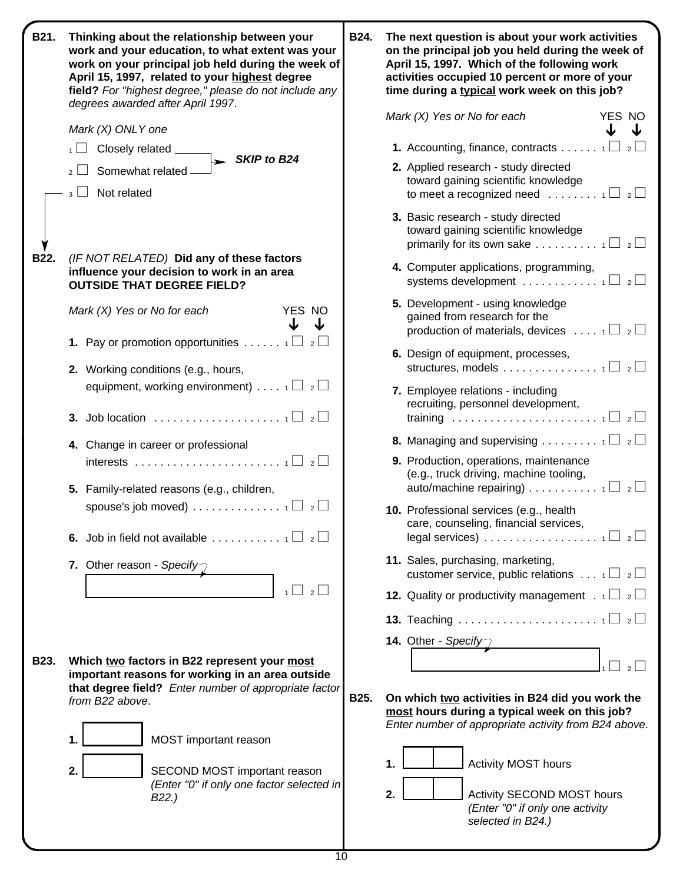| B21. | Thinking about the relationship between your<br>work and your education, to what extent was your<br>work on your principal job held during the week of<br>April 15, 1997, related to your highest degree<br>field? For "highest degree," please do not include any<br>degrees awarded after April 1997. | <b>B24.</b> | The next question is about your work activities<br>on the principal job you held during the week of<br>April 15, 1997. Which of the following work<br>activities occupied 10 percent or more of your<br>time during a typical work week on this job? |
|------|---------------------------------------------------------------------------------------------------------------------------------------------------------------------------------------------------------------------------------------------------------------------------------------------------------|-------------|------------------------------------------------------------------------------------------------------------------------------------------------------------------------------------------------------------------------------------------------------|
|      | Mark (X) ONLY one                                                                                                                                                                                                                                                                                       |             | Mark $(X)$ Yes or No for each<br>YES NO<br>J                                                                                                                                                                                                         |
|      | Closely related ______                                                                                                                                                                                                                                                                                  |             | <b>1.</b> Accounting, finance, contracts $1 \Box 2 \Box$                                                                                                                                                                                             |
|      | $\triangleright$ SKIP to B24<br>Somewhat related -                                                                                                                                                                                                                                                      |             | 2. Applied research - study directed<br>toward gaining scientific knowledge                                                                                                                                                                          |
|      | $_3 \Box$ Not related                                                                                                                                                                                                                                                                                   |             | to meet a recognized need $\ldots \ldots \ldots \oplus \mathbb{Z}$<br>3. Basic research - study directed<br>toward gaining scientific knowledge<br>primarily for its own sake $1 \Box 2 \Box$                                                        |
| B22. | (IF NOT RELATED) Did any of these factors<br>influence your decision to work in an area<br><b>OUTSIDE THAT DEGREE FIELD?</b>                                                                                                                                                                            |             | 4. Computer applications, programming,<br>systems development $\ldots \ldots \ldots \ldots \sqcap$ 2                                                                                                                                                 |
|      | YES NO<br>Mark $(X)$ Yes or No for each<br>J<br>↓                                                                                                                                                                                                                                                       |             | 5. Development - using knowledge<br>gained from research for the<br>production of materials, devices $\ldots$ 1 $\Box$ 2 $\Box$                                                                                                                      |
|      | <b>1.</b> Pay or promotion opportunities $1 \square 2 \square$<br>2. Working conditions (e.g., hours,                                                                                                                                                                                                   |             | 6. Design of equipment, processes,                                                                                                                                                                                                                   |
|      | equipment, working environment) $\ldots$ $\Box$ $\Box$                                                                                                                                                                                                                                                  |             | 7. Employee relations - including<br>recruiting, personnel development,                                                                                                                                                                              |
|      |                                                                                                                                                                                                                                                                                                         |             | <b>8.</b> Managing and supervising $1 \Box 2 \Box$                                                                                                                                                                                                   |
|      | 4. Change in career or professional                                                                                                                                                                                                                                                                     |             | 9. Production, operations, maintenance<br>(e.g., truck driving, machine tooling,                                                                                                                                                                     |
|      | 5. Family-related reasons (e.g., children,                                                                                                                                                                                                                                                              |             | auto/machine repairing) $\ldots \ldots \ldots \ldots \sqcap$ 2                                                                                                                                                                                       |
|      | spouse's job moved) 1 $\Box$ 2 $\Box$                                                                                                                                                                                                                                                                   |             | 10. Professional services (e.g., health<br>care. counseling, financial services,                                                                                                                                                                     |
|      | 7. Other reason - Specify $\gamma$                                                                                                                                                                                                                                                                      |             | 11. Sales, purchasing, marketing,<br>customer service, public relations $\ldots$ 1 $\Box$ 2 $\Box$                                                                                                                                                   |
|      | $1 \cup 2 \cup$                                                                                                                                                                                                                                                                                         |             | <b>12.</b> Quality or productivity management $\therefore$ $\Box$ $\Box$                                                                                                                                                                             |
|      |                                                                                                                                                                                                                                                                                                         |             |                                                                                                                                                                                                                                                      |
|      |                                                                                                                                                                                                                                                                                                         |             | <b>14.</b> Other - Specify                                                                                                                                                                                                                           |
| B23. | Which two factors in B22 represent your most<br>important reasons for working in an area outside<br>that degree field? Enter number of appropriate factor<br>from B22 above.                                                                                                                            |             | $\overline{2}$                                                                                                                                                                                                                                       |
|      |                                                                                                                                                                                                                                                                                                         | <b>B25.</b> | On which two activities in B24 did you work the<br>most hours during a typical week on this job?<br>Enter number of appropriate activity from B24 above.                                                                                             |
|      | MOST important reason<br>1.                                                                                                                                                                                                                                                                             |             |                                                                                                                                                                                                                                                      |
|      | SECOND MOST important reason<br>2.                                                                                                                                                                                                                                                                      |             | <b>Activity MOST hours</b><br>1.                                                                                                                                                                                                                     |
|      | (Enter "0" if only one factor selected in<br>B <sub>22</sub> .)                                                                                                                                                                                                                                         |             | 2.<br>Activity SECOND MOST hours<br>(Enter "0" if only one activity<br>selected in B24.)                                                                                                                                                             |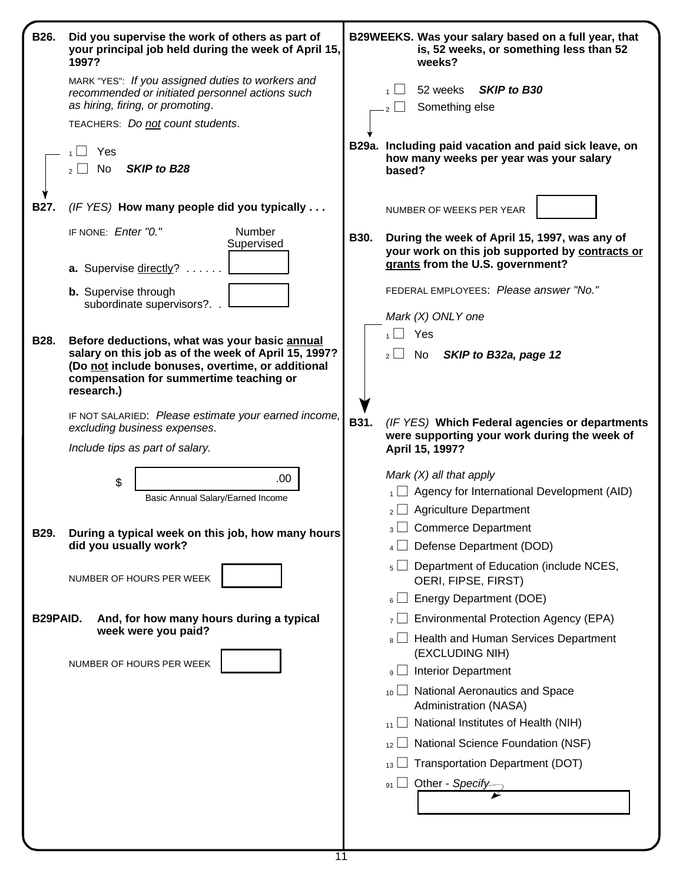| B26.        | Did you supervise the work of others as part of<br>your principal job held during the week of April 15,<br>1997?                                                  |             | B29WEEKS. Was your salary based on a full year, that<br>is, 52 weeks, or something less than 52<br>weeks?                            |
|-------------|-------------------------------------------------------------------------------------------------------------------------------------------------------------------|-------------|--------------------------------------------------------------------------------------------------------------------------------------|
|             | MARK "YES": If you assigned duties to workers and<br>recommended or initiated personnel actions such<br>as hiring, firing, or promoting.                          |             | <b>SKIP to B30</b><br>52 weeks<br>Something else                                                                                     |
|             | TEACHERS: Do not count students.                                                                                                                                  |             |                                                                                                                                      |
|             | Yes<br>No<br><b>SKIP to B28</b>                                                                                                                                   |             | B29a. Including paid vacation and paid sick leave, on<br>how many weeks per year was your salary<br>based?                           |
| B27.        | (IF YES) How many people did you typically                                                                                                                        |             | NUMBER OF WEEKS PER YEAR                                                                                                             |
|             | IF NONE: Enter "0."<br>Number<br>Supervised                                                                                                                       | <b>B30.</b> | During the week of April 15, 1997, was any of<br>your work on this job supported by contracts or<br>grants from the U.S. government? |
|             | a. Supervise directly?                                                                                                                                            |             |                                                                                                                                      |
|             | <b>b.</b> Supervise through<br>subordinate supervisors?.                                                                                                          |             | FEDERAL EMPLOYEES: Please answer "No."                                                                                               |
|             |                                                                                                                                                                   |             | Mark (X) ONLY one                                                                                                                    |
| <b>B28.</b> | Before deductions, what was your basic annual                                                                                                                     |             | $\overline{1}$ Yes                                                                                                                   |
|             | salary on this job as of the week of April 15, 1997?<br>(Do not include bonuses, overtime, or additional<br>compensation for summertime teaching or<br>research.) |             | SKIP to B32a, page 12<br>$2 \Box$ No                                                                                                 |
|             | IF NOT SALARIED: Please estimate your earned income,<br>excluding business expenses.                                                                              | B31.        | (IF YES) Which Federal agencies or departments<br>were supporting your work during the week of                                       |
|             | Include tips as part of salary.                                                                                                                                   |             | April 15, 1997?                                                                                                                      |
|             | .00.                                                                                                                                                              |             | Mark $(X)$ all that apply                                                                                                            |
|             | \$<br>Basic Annual Salary/Earned Income                                                                                                                           |             | $\overline{A}$ Agency for International Development (AID)                                                                            |
|             |                                                                                                                                                                   |             | $_2$ Agriculture Department                                                                                                          |
| B29.        | During a typical week on this job, how many hours                                                                                                                 |             | $_3$ $\Box$ Commerce Department                                                                                                      |
|             | did you usually work?                                                                                                                                             |             | Defense Department (DOD)                                                                                                             |
|             | NUMBER OF HOURS PER WEEK                                                                                                                                          |             | Department of Education (include NCES,<br>5 <sup>1</sup><br>OERI, FIPSE, FIRST)                                                      |
|             |                                                                                                                                                                   |             | <b>Energy Department (DOE)</b><br>$6 \Box$                                                                                           |
| B29PAID.    | And, for how many hours during a typical                                                                                                                          |             | <b>Environmental Protection Agency (EPA)</b><br>$\overline{7}$                                                                       |
|             | week were you paid?                                                                                                                                               |             | Health and Human Services Department<br>8 l<br>(EXCLUDING NIH)                                                                       |
|             | NUMBER OF HOURS PER WEEK                                                                                                                                          |             | <b>Interior Department</b><br>$9 \Box$                                                                                               |
|             |                                                                                                                                                                   |             | National Aeronautics and Space<br>10 <sup>1</sup><br>Administration (NASA)                                                           |
|             |                                                                                                                                                                   |             | National Institutes of Health (NIH)<br>11                                                                                            |
|             |                                                                                                                                                                   |             | National Science Foundation (NSF)<br>12 <sup>°</sup>                                                                                 |
|             |                                                                                                                                                                   |             | <b>Transportation Department (DOT)</b><br>13                                                                                         |
|             |                                                                                                                                                                   |             | ◯ Other - <i>Specify</i><br>91                                                                                                       |
|             |                                                                                                                                                                   |             |                                                                                                                                      |
|             |                                                                                                                                                                   |             |                                                                                                                                      |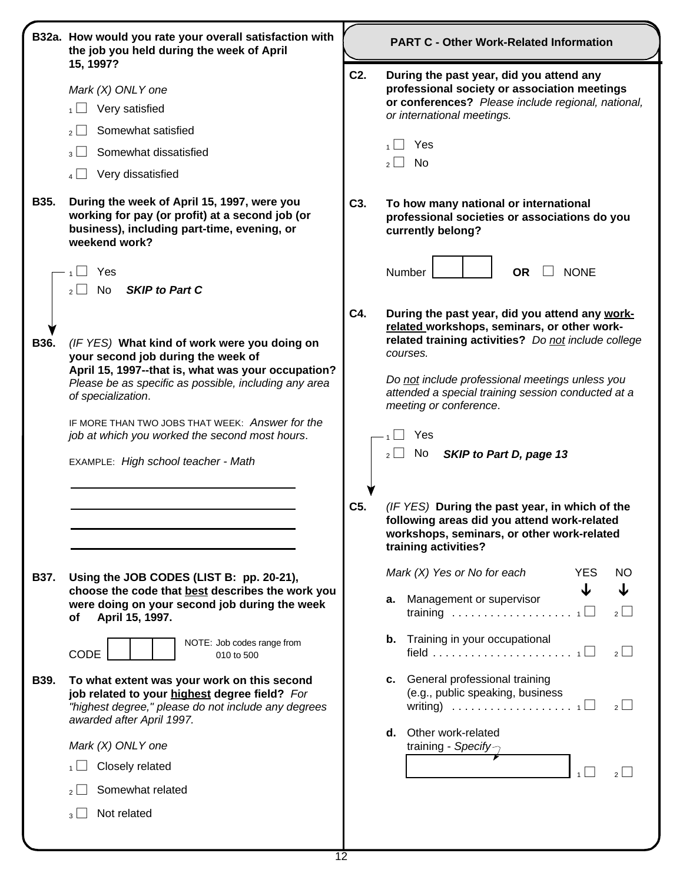|             | B32a. How would you rate your overall satisfaction with<br>the job you held during the week of April                                                                                                                                                                                                                                                                | <b>PART C - Other Work-Related Information</b> |                                                                                                                                                                                                                                                                                                                                                            |  |  |  |  |
|-------------|---------------------------------------------------------------------------------------------------------------------------------------------------------------------------------------------------------------------------------------------------------------------------------------------------------------------------------------------------------------------|------------------------------------------------|------------------------------------------------------------------------------------------------------------------------------------------------------------------------------------------------------------------------------------------------------------------------------------------------------------------------------------------------------------|--|--|--|--|
|             | 15, 1997?<br>Mark (X) ONLY one<br>Very satisfied<br>Somewhat satisfied<br>2 <sup>1</sup><br>Somewhat dissatisfied<br>$3$   $\overline{\phantom{a}}$                                                                                                                                                                                                                 | C <sub>2</sub> .                               | During the past year, did you attend any<br>professional society or association meetings<br>or conferences? Please include regional, national,<br>or international meetings.<br>Yes                                                                                                                                                                        |  |  |  |  |
| B35.        | Very dissatisfied<br>4 L<br>During the week of April 15, 1997, were you<br>working for pay (or profit) at a second job (or<br>business), including part-time, evening, or<br>weekend work?                                                                                                                                                                          |                                                | No<br>$2\lfloor$<br>To how many national or international<br>professional societies or associations do you<br>currently belong?                                                                                                                                                                                                                            |  |  |  |  |
| <b>B36.</b> | Yes<br><b>SKIP to Part C</b><br>No<br>2 <sup>1</sup>                                                                                                                                                                                                                                                                                                                |                                                | <b>OR</b><br><b>NONE</b><br>Number                                                                                                                                                                                                                                                                                                                         |  |  |  |  |
|             | (IF YES) What kind of work were you doing on<br>your second job during the week of<br>April 15, 1997--that is, what was your occupation?<br>Please be as specific as possible, including any area<br>of specialization.<br>IF MORE THAN TWO JOBS THAT WEEK: Answer for the<br>job at which you worked the second most hours.<br>EXAMPLE: High school teacher - Math | C4.                                            | During the past year, did you attend any work-<br>related workshops, seminars, or other work-<br>related training activities? Do not include college<br>courses.<br>Do not include professional meetings unless you<br>attended a special training session conducted at a<br>meeting or conference.<br>Yes<br>No<br>SKIP to Part D, page 13<br>$2 \lfloor$ |  |  |  |  |
|             |                                                                                                                                                                                                                                                                                                                                                                     | C5.                                            | (IF YES) During the past year, in which of the<br>following areas did you attend work-related<br>workshops, seminars, or other work-related<br>training activities?                                                                                                                                                                                        |  |  |  |  |
| B37.        | Using the JOB CODES (LIST B: pp. 20-21),<br>choose the code that best describes the work you<br>were doing on your second job during the week<br>April 15, 1997.<br>of<br>NOTE: Job codes range from<br><b>CODE</b><br>010 to 500                                                                                                                                   |                                                | Mark $(X)$ Yes or No for each<br><b>YES</b><br><b>NO</b><br>↓<br>a. Management or supervisor<br>$2 \Box$<br><b>b.</b> Training in your occupational<br>$2\Box$                                                                                                                                                                                             |  |  |  |  |
| B39.        | To what extent was your work on this second<br>job related to your highest degree field? For<br>"highest degree," please do not include any degrees<br>awarded after April 1997.                                                                                                                                                                                    |                                                | c. General professional training<br>(e.g., public speaking, business<br>writing) $\ldots \ldots \ldots \ldots \ldots \ldots \ldots$<br>$2 \Box$<br>Other work-related                                                                                                                                                                                      |  |  |  |  |
|             | Mark (X) ONLY one<br>Closely related<br>Somewhat related<br>2 <sup>1</sup><br>Not related<br>$\overline{3}$                                                                                                                                                                                                                                                         |                                                | d.<br>training - Specify $\gamma$                                                                                                                                                                                                                                                                                                                          |  |  |  |  |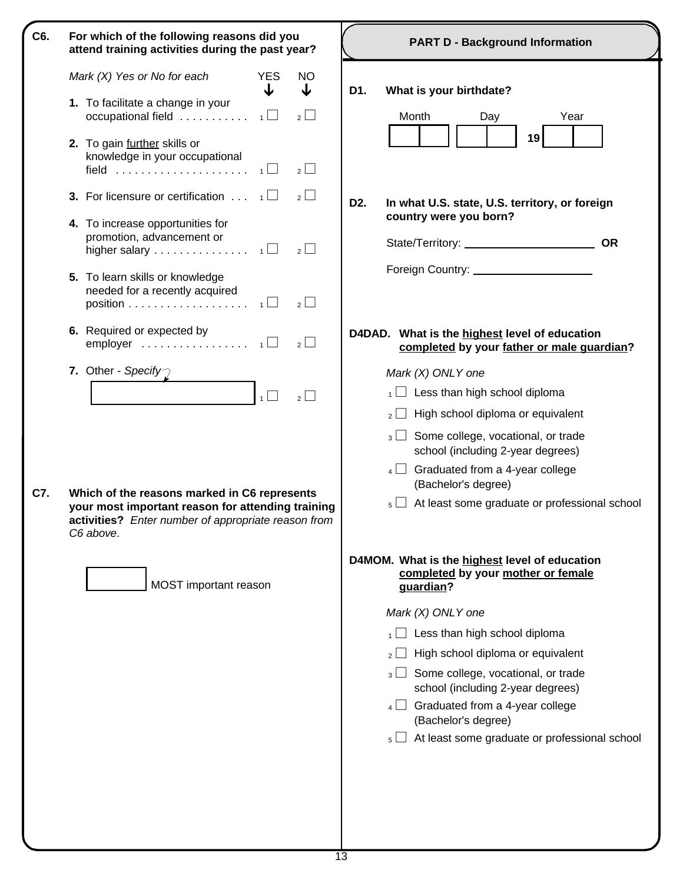| C6.<br>For which of the following reasons did you<br>attend training activities during the past year?                                                                        | <b>PART D - Background Information</b>                                                                                                                                                                                                           |  |  |  |  |
|------------------------------------------------------------------------------------------------------------------------------------------------------------------------------|--------------------------------------------------------------------------------------------------------------------------------------------------------------------------------------------------------------------------------------------------|--|--|--|--|
| Mark $(X)$ Yes or No for each<br><b>YES</b><br>NO<br>↓<br>↓                                                                                                                  | What is your birthdate?<br>D1.                                                                                                                                                                                                                   |  |  |  |  |
| 1. To facilitate a change in your<br>occupational field $\ldots \ldots \ldots \ldots$<br>$\overline{2}$                                                                      | Month<br>Day<br>Year                                                                                                                                                                                                                             |  |  |  |  |
| 2. To gain further skills or<br>knowledge in your occupational<br>field $\ldots \ldots \ldots \ldots \ldots \ldots \ldots$<br>$2$ $\Box$                                     | 19                                                                                                                                                                                                                                               |  |  |  |  |
| <b>3.</b> For licensure or certification $\ldots$ $\Box$<br>$2$ $\Box$                                                                                                       | D <sub>2</sub> .<br>In what U.S. state, U.S. territory, or foreign                                                                                                                                                                               |  |  |  |  |
| 4. To increase opportunities for<br>promotion, advancement or<br>higher salary $\ldots \ldots \ldots \ldots \ldots$<br>$2$ $\Box$                                            | country were you born?                                                                                                                                                                                                                           |  |  |  |  |
| 5. To learn skills or knowledge<br>needed for a recently acquired<br>$2$ $\Box$                                                                                              | Foreign Country: Note that the state of the state of the state of the state of the state of the state of the state of the state of the state of the state of the state of the state of the state of the state of the state of                    |  |  |  |  |
| 6. Required or expected by<br>$2$ $\Box$                                                                                                                                     | D4DAD. What is the highest level of education<br>completed by your father or male guardian?                                                                                                                                                      |  |  |  |  |
| 7. Other - Specify<br>$\overline{1}$<br>$2 \Box$                                                                                                                             | Mark (X) ONLY one<br>Less than high school diploma<br>1<br>High school diploma or equivalent<br>$2$    <br>$_3\Box$ Some college, vocational, or trade<br>school (including 2-year degrees)<br>Graduated from a 4-year college<br>$\overline{4}$ |  |  |  |  |
| C7.<br>Which of the reasons marked in C6 represents<br>your most important reason for attending training<br>activities? Enter number of appropriate reason from<br>C6 above. | (Bachelor's degree)<br>At least some graduate or professional school<br>$5 \Box$                                                                                                                                                                 |  |  |  |  |
| MOST important reason                                                                                                                                                        | D4MOM. What is the highest level of education<br>completed by your mother or female<br>guardian?                                                                                                                                                 |  |  |  |  |
|                                                                                                                                                                              | Mark (X) ONLY one                                                                                                                                                                                                                                |  |  |  |  |
|                                                                                                                                                                              | Less than high school diploma                                                                                                                                                                                                                    |  |  |  |  |
|                                                                                                                                                                              | High school diploma or equivalent                                                                                                                                                                                                                |  |  |  |  |
|                                                                                                                                                                              | Some college, vocational, or trade<br>$3 \lfloor$<br>school (including 2-year degrees)                                                                                                                                                           |  |  |  |  |
|                                                                                                                                                                              | Graduated from a 4-year college<br>$4 \Box$<br>(Bachelor's degree)                                                                                                                                                                               |  |  |  |  |
|                                                                                                                                                                              | At least some graduate or professional school<br>$5 \mid$                                                                                                                                                                                        |  |  |  |  |
|                                                                                                                                                                              |                                                                                                                                                                                                                                                  |  |  |  |  |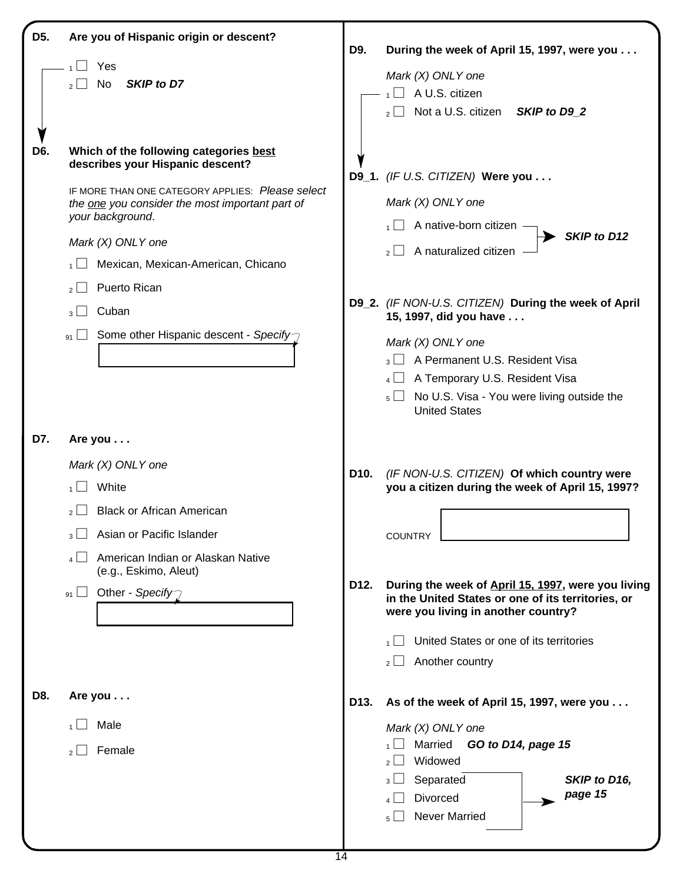| D <sub>5</sub> . | Are you of Hispanic origin or descent?                                                                                                                                                                                                                                                                                                                                                                    | D9.               |                                                                                                                                                                                                                                                                                                                                                                                               |
|------------------|-----------------------------------------------------------------------------------------------------------------------------------------------------------------------------------------------------------------------------------------------------------------------------------------------------------------------------------------------------------------------------------------------------------|-------------------|-----------------------------------------------------------------------------------------------------------------------------------------------------------------------------------------------------------------------------------------------------------------------------------------------------------------------------------------------------------------------------------------------|
|                  | Yes<br>SKIP to D7<br>No                                                                                                                                                                                                                                                                                                                                                                                   |                   | During the week of April 15, 1997, were you<br>Mark (X) ONLY one<br>A U.S. citizen<br>Not a U.S. citizen<br>SKIP to D9_2                                                                                                                                                                                                                                                                      |
| D6.              | Which of the following categories best<br>describes your Hispanic descent?<br>IF MORE THAN ONE CATEGORY APPLIES: Please select<br>the one you consider the most important part of<br>your background.<br>Mark (X) ONLY one<br>Mexican, Mexican-American, Chicano<br>1<br>Puerto Rican<br>$2 \mid$<br>Cuban<br>3 <sup>1</sup><br>Some other Hispanic descent - Specify<br>$\frac{1}{2}$<br>91 <sup>1</sup> |                   | D9_1. (IF U.S. CITIZEN) Were you<br>Mark (X) ONLY one<br>A native-born citizen<br>SKIP to D12<br>A naturalized citizen<br>D9_2. (IF NON-U.S. CITIZEN) During the week of April<br>15, 1997, did you have<br>Mark (X) ONLY one<br>$_3$ A Permanent U.S. Resident Visa<br>$_4$ $\Box$ A Temporary U.S. Resident Visa<br>$_5$ No U.S. Visa - You were living outside the<br><b>United States</b> |
| D7.              | Are you<br>Mark (X) ONLY one<br>White<br><b>Black or African American</b><br>$2$   $\overline{ }$<br>Asian or Pacific Islander<br>American Indian or Alaskan Native<br>(e.g., Eskimo, Aleut)<br>Other - Specify<br>91                                                                                                                                                                                     | D10.<br>D12.      | (IF NON-U.S. CITIZEN) Of which country were<br>you a citizen during the week of April 15, 1997?<br><b>COUNTRY</b><br>During the week of April 15, 1997, were you living<br>in the United States or one of its territories, or<br>were you living in another country?<br>United States or one of its territories<br>Another country<br>$2 \Box$                                                |
| D8.              | Are you<br>Male<br>Female<br>2 <sup>1</sup>                                                                                                                                                                                                                                                                                                                                                               | D <sub>13</sub> . | As of the week of April 15, 1997, were you<br>Mark (X) ONLY one<br>Married<br>GO to D14, page 15<br>Widowed<br>2 <sup>1</sup><br>Separated<br>SKIP to D16,<br>$3 \lfloor$<br>page 15<br><b>Divorced</b><br><b>Never Married</b><br>$5 \Box$                                                                                                                                                   |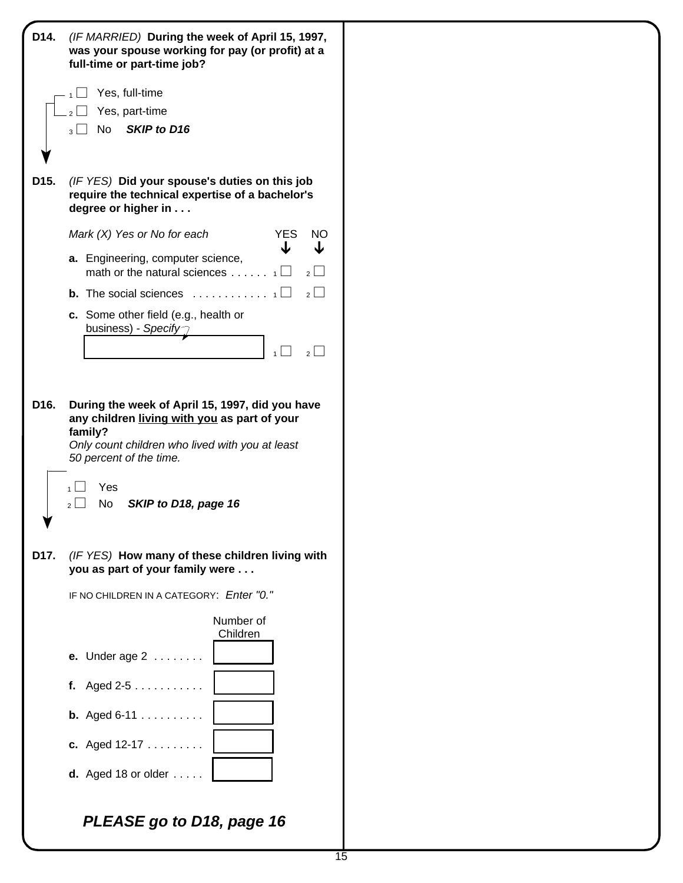| D14.              | (IF MARRIED) During the week of April 15, 1997,<br>was your spouse working for pay (or profit) at a<br>full-time or part-time job?                                                                                                   |
|-------------------|--------------------------------------------------------------------------------------------------------------------------------------------------------------------------------------------------------------------------------------|
|                   | Yes, full-time                                                                                                                                                                                                                       |
|                   | Yes, part-time                                                                                                                                                                                                                       |
|                   | SKIP to D16<br>No<br>3 <sup>1</sup>                                                                                                                                                                                                  |
| D15.              | (IF YES) Did your spouse's duties on this job<br>require the technical expertise of a bachelor's<br>degree or higher in                                                                                                              |
|                   | Mark (X) Yes or No for each<br><b>YES</b><br><b>NO</b><br>↓                                                                                                                                                                          |
|                   | a. Engineering, computer science,<br>math or the natural sciences<br>$2^{\lfloor}$                                                                                                                                                   |
|                   | $\overline{2}$<br><b>b.</b> The social sciences $\ldots \ldots \ldots \ldots$                                                                                                                                                        |
|                   | c. Some other field (e.g., health or<br>business) - Specify $\gamma$<br>$\overline{2}$<br>$\mathbf{1}$                                                                                                                               |
| D <sub>16</sub> . | During the week of April 15, 1997, did you have<br>any children living with you as part of your<br>family?<br>Only count children who lived with you at least<br>50 percent of the time.<br>Yes<br>No<br>SKIP to D18, page 16<br>2 l |
| D17.              | (IF YES) How many of these children living with<br>you as part of your family were                                                                                                                                                   |
|                   | IF NO CHILDREN IN A CATEGORY: Enter "0."                                                                                                                                                                                             |
|                   | Number of<br>Children                                                                                                                                                                                                                |
|                   | <b>e.</b> Under age $2 \ldots \ldots$                                                                                                                                                                                                |
|                   | f. Aged $2-5$                                                                                                                                                                                                                        |
|                   | <b>b.</b> Aged $6-11$                                                                                                                                                                                                                |
|                   | c. Aged 12-17                                                                                                                                                                                                                        |
|                   | <b>d.</b> Aged 18 or older $\ldots$ .                                                                                                                                                                                                |
|                   | PLEASE go to D18, page 16                                                                                                                                                                                                            |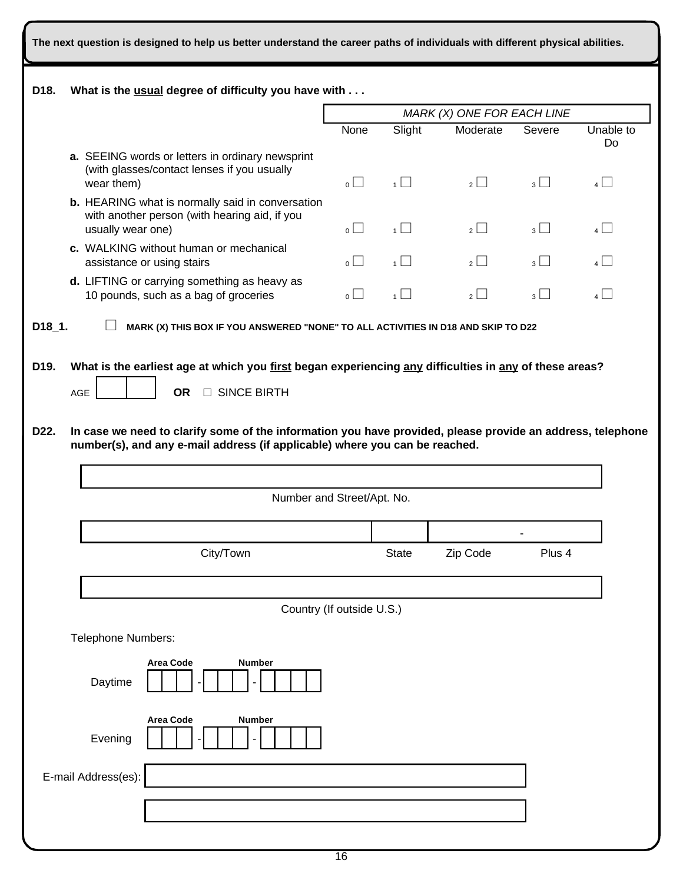| The next question is designed to help us better understand the career paths of individuals with different physical abilities. |                                                                                                                                                                                           |                                                                                                                                                            |                    |                            |                |                |                 |  |
|-------------------------------------------------------------------------------------------------------------------------------|-------------------------------------------------------------------------------------------------------------------------------------------------------------------------------------------|------------------------------------------------------------------------------------------------------------------------------------------------------------|--------------------|----------------------------|----------------|----------------|-----------------|--|
| D <sub>18</sub> .                                                                                                             | What is the usual degree of difficulty you have with                                                                                                                                      |                                                                                                                                                            |                    |                            |                |                |                 |  |
|                                                                                                                               |                                                                                                                                                                                           |                                                                                                                                                            |                    | MARK (X) ONE FOR EACH LINE |                |                |                 |  |
|                                                                                                                               |                                                                                                                                                                                           |                                                                                                                                                            | None               | Slight                     | Moderate       | Severe         | Unable to<br>Do |  |
|                                                                                                                               | wear them)                                                                                                                                                                                | a. SEEING words or letters in ordinary newsprint<br>(with glasses/contact lenses if you usually<br><b>b.</b> HEARING what is normally said in conversation |                    | $\overline{1}$             | $\overline{2}$ | $_3\Box$       | $4$ $\Box$      |  |
|                                                                                                                               | with another person (with hearing aid, if you<br>usually wear one)<br>c. WALKING without human or mechanical<br>assistance or using stairs                                                |                                                                                                                                                            | $\overline{\circ}$ | $\overline{1}$             | $\overline{2}$ | $_3$ $\Box$    | $4\Box$         |  |
|                                                                                                                               |                                                                                                                                                                                           |                                                                                                                                                            | $\overline{\circ}$ | $\overline{1}$             | $\overline{2}$ | $\overline{3}$ | $4\Box$         |  |
|                                                                                                                               | d. LIFTING or carrying something as heavy as<br>10 pounds, such as a bag of groceries                                                                                                     |                                                                                                                                                            | $\overline{\circ}$ | 1                          | $\overline{2}$ | 3              | $4\Box$         |  |
| D18 1.                                                                                                                        |                                                                                                                                                                                           | MARK (X) THIS BOX IF YOU ANSWERED "NONE" TO ALL ACTIVITIES IN D18 AND SKIP TO D22                                                                          |                    |                            |                |                |                 |  |
| D <sub>19</sub> .                                                                                                             | What is the earliest age at which you first began experiencing any difficulties in any of these areas?                                                                                    |                                                                                                                                                            |                    |                            |                |                |                 |  |
|                                                                                                                               | <b>OR</b><br>AGE                                                                                                                                                                          | □ SINCE BIRTH                                                                                                                                              |                    |                            |                |                |                 |  |
|                                                                                                                               |                                                                                                                                                                                           |                                                                                                                                                            |                    |                            |                |                |                 |  |
| D22.                                                                                                                          | In case we need to clarify some of the information you have provided, please provide an address, telephone<br>number(s), and any e-mail address (if applicable) where you can be reached. |                                                                                                                                                            |                    |                            |                |                |                 |  |
|                                                                                                                               |                                                                                                                                                                                           |                                                                                                                                                            |                    |                            |                |                |                 |  |
|                                                                                                                               |                                                                                                                                                                                           | Number and Street/Apt. No.                                                                                                                                 |                    |                            |                |                |                 |  |
|                                                                                                                               |                                                                                                                                                                                           |                                                                                                                                                            |                    |                            |                |                |                 |  |
|                                                                                                                               |                                                                                                                                                                                           | City/Town                                                                                                                                                  |                    | <b>State</b>               | Zip Code       | Plus 4         |                 |  |
|                                                                                                                               |                                                                                                                                                                                           |                                                                                                                                                            |                    |                            |                |                |                 |  |
|                                                                                                                               |                                                                                                                                                                                           | Country (If outside U.S.)                                                                                                                                  |                    |                            |                |                |                 |  |
|                                                                                                                               | Telephone Numbers:                                                                                                                                                                        |                                                                                                                                                            |                    |                            |                |                |                 |  |
|                                                                                                                               | <b>Area Code</b><br><b>Number</b><br>Daytime                                                                                                                                              |                                                                                                                                                            |                    |                            |                |                |                 |  |
|                                                                                                                               | <b>Area Code</b><br><b>Number</b><br>Evening                                                                                                                                              |                                                                                                                                                            |                    |                            |                |                |                 |  |
|                                                                                                                               | E-mail Address(es):                                                                                                                                                                       |                                                                                                                                                            |                    |                            |                |                |                 |  |
|                                                                                                                               |                                                                                                                                                                                           |                                                                                                                                                            |                    |                            |                |                |                 |  |
|                                                                                                                               |                                                                                                                                                                                           |                                                                                                                                                            |                    |                            |                |                |                 |  |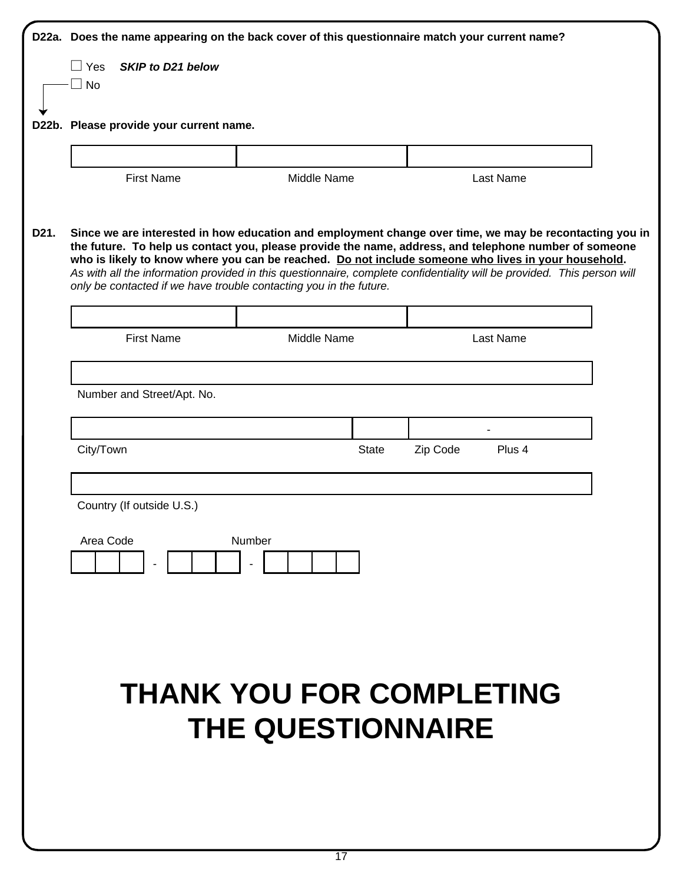|      | D22a. Does the name appearing on the back cover of this questionnaire match your current name? |                                                                                                                                                                                                                                                                                                                                                                                                                                                                                                                          |              |                    |  |  |  |  |
|------|------------------------------------------------------------------------------------------------|--------------------------------------------------------------------------------------------------------------------------------------------------------------------------------------------------------------------------------------------------------------------------------------------------------------------------------------------------------------------------------------------------------------------------------------------------------------------------------------------------------------------------|--------------|--------------------|--|--|--|--|
|      | $\Box$ Yes<br>SKIP to D21 below                                                                |                                                                                                                                                                                                                                                                                                                                                                                                                                                                                                                          |              |                    |  |  |  |  |
|      | $\Box$ No                                                                                      |                                                                                                                                                                                                                                                                                                                                                                                                                                                                                                                          |              |                    |  |  |  |  |
|      |                                                                                                | D22b. Please provide your current name.                                                                                                                                                                                                                                                                                                                                                                                                                                                                                  |              |                    |  |  |  |  |
|      |                                                                                                |                                                                                                                                                                                                                                                                                                                                                                                                                                                                                                                          |              |                    |  |  |  |  |
|      | <b>First Name</b>                                                                              | Middle Name                                                                                                                                                                                                                                                                                                                                                                                                                                                                                                              |              | Last Name          |  |  |  |  |
| D21. |                                                                                                | Since we are interested in how education and employment change over time, we may be recontacting you in<br>the future. To help us contact you, please provide the name, address, and telephone number of someone<br>who is likely to know where you can be reached. Do not include someone who lives in your household.<br>As with all the information provided in this questionnaire, complete confidentiality will be provided. This person will<br>only be contacted if we have trouble contacting you in the future. |              |                    |  |  |  |  |
|      | <b>First Name</b>                                                                              | Middle Name                                                                                                                                                                                                                                                                                                                                                                                                                                                                                                              |              | Last Name          |  |  |  |  |
|      |                                                                                                |                                                                                                                                                                                                                                                                                                                                                                                                                                                                                                                          |              |                    |  |  |  |  |
|      |                                                                                                | Number and Street/Apt. No.                                                                                                                                                                                                                                                                                                                                                                                                                                                                                               |              |                    |  |  |  |  |
|      |                                                                                                |                                                                                                                                                                                                                                                                                                                                                                                                                                                                                                                          |              |                    |  |  |  |  |
|      | City/Town                                                                                      |                                                                                                                                                                                                                                                                                                                                                                                                                                                                                                                          | <b>State</b> | Zip Code<br>Plus 4 |  |  |  |  |
|      |                                                                                                |                                                                                                                                                                                                                                                                                                                                                                                                                                                                                                                          |              |                    |  |  |  |  |
|      | Country (If outside U.S.)                                                                      |                                                                                                                                                                                                                                                                                                                                                                                                                                                                                                                          |              |                    |  |  |  |  |
|      | Area Code<br>Number                                                                            |                                                                                                                                                                                                                                                                                                                                                                                                                                                                                                                          |              |                    |  |  |  |  |
|      |                                                                                                |                                                                                                                                                                                                                                                                                                                                                                                                                                                                                                                          |              |                    |  |  |  |  |
|      |                                                                                                | <b>THANK YOU FOR COMPLETING</b><br><b>THE QUESTIONNAIRE</b>                                                                                                                                                                                                                                                                                                                                                                                                                                                              |              |                    |  |  |  |  |
|      |                                                                                                |                                                                                                                                                                                                                                                                                                                                                                                                                                                                                                                          |              |                    |  |  |  |  |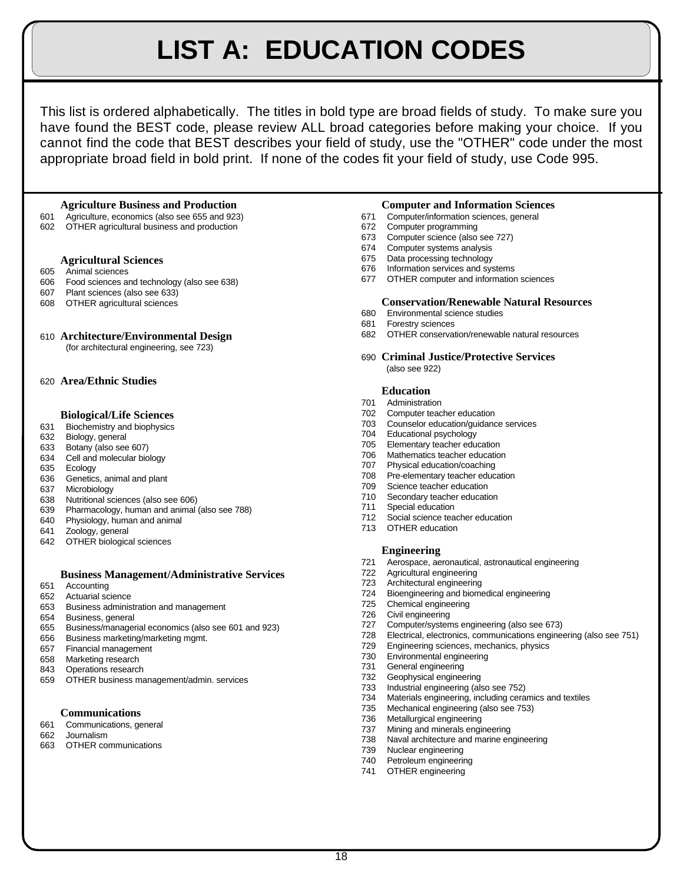# **LIST A: EDUCATION CODES**

This list is ordered alphabetically. The titles in bold type are broad fields of study. To make sure you have found the BEST code, please review ALL broad categories before making your choice. If you cannot find the code that BEST describes your field of study, use the "OTHER" code under the most appropriate broad field in bold print. If none of the codes fit your field of study, use Code 995.

## **Agriculture Business and Production Computer and Information Sciences**

- Agriculture, economics (also see 655 and 923) 671 Computer/information sciences, general
- OTHER agricultural business and production 672 Computer programming

# **Agricultural Sciences**

- Animal sciences
- Food sciences and technology (also see 638)
- Plant sciences (also see 633)
- OTHER agricultural sciences

# **Architecture/Environmental Design**

(for architectural engineering, see 723)

# **Area/Ethnic Studies**

# **Biological/Life Sciences**

- Biochemistry and biophysics
- Biology, general
- Botany (also see 607)
- Cell and molecular biology
- Ecology
- Genetics, animal and plant
- Microbiology
- Nutritional sciences (also see 606)
- Pharmacology, human and animal (also see 788)
- Physiology, human and animal
- Zoology, general
- OTHER biological sciences

# **Business Management/Administrative Services**

- Accounting
- Actuarial science
- Business administration and management
- Business, general
- Business/managerial economics (also see 601 and 923)
- Business marketing/marketing mgmt.
- Financial management
- Marketing research
- Operations research
- OTHER business management/admin. services

# **Communications**

- Communications, general
- Journalism
- OTHER communications

- 
- 
- Computer science (also see 727)
- Computer systems analysis
- Data processing technology
- Information services and systems
- OTHER computer and information sciences

# **Conservation/Renewable Natural Resources**

- Environmental science studies
- Forestry sciences
- OTHER conservation/renewable natural resources
- **Criminal Justice/Protective Services** (also see 922)

### **Education**

- Administration
- Computer teacher education
- Counselor education/guidance services
- Educational psychology
- Elementary teacher education
- Mathematics teacher education
- Physical education/coaching
- Pre-elementary teacher education
- Science teacher education
- Secondary teacher education
- Special education
- Social science teacher education OTHER education
	-

# **Engineering**

- Aerospace, aeronautical, astronautical engineering
- Agricultural engineering
- Architectural engineering
- Bioengineering and biomedical engineering
- Chemical engineering
- Civil engineering
- Computer/systems engineering (also see 673)
- Electrical, electronics, communications engineering (also see 751)
- Engineering sciences, mechanics, physics
- Environmental engineering
- General engineering
- Geophysical engineering
- Industrial engineering (also see 752)
- Materials engineering, including ceramics and textiles
- Mechanical engineering (also see 753)
- Metallurgical engineering
- Mining and minerals engineering
- Naval architecture and marine engineering
- Nuclear engineering
- Petroleum engineering
- OTHER engineering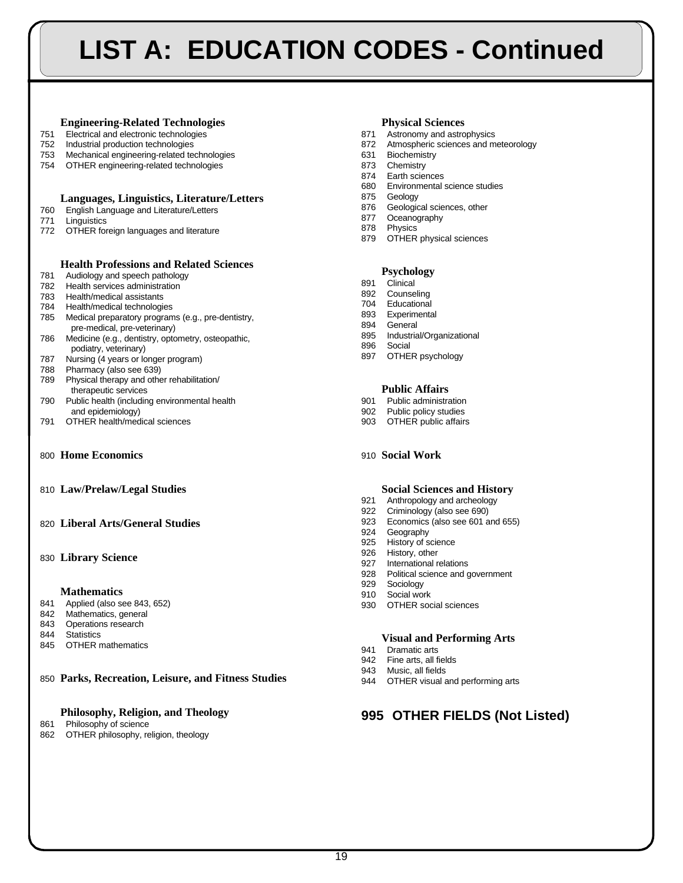# **LIST A: EDUCATION CODES - Continued**

# **Engineering-Related Technologies Physical Sciences**

- Electrical and electronic technologies 871 Astronomy and astrophysics
- 
- Mechanical engineering-related technologies 631 Biochemistry
- OTHER engineering-related technologies 873 Chemistry

# **Languages, Linguistics, Literature/Letters**

- English Language and Literature/Letters
- Linguistics
- OTHER foreign languages and literature

# **Health Professions and Related Sciences**

- Audiology and speech pathology
- Health services administration
- Health/medical assistants
- Health/medical technologies
- Medical preparatory programs (e.g., pre-dentistry, pre-medical, pre-veterinary)
- Medicine (e.g., dentistry, optometry, osteopathic, podiatry, veterinary)
- Nursing (4 years or longer program)
- Pharmacy (also see 639)
- Physical therapy and other rehabilitation/
- therapeutic services Public health (including environmental health 901 Public administration
- and epidemiology)<br>
902 Public policy studies<br>
903 OTHER public affairs
903 OTHER public affairs
- 791 OTHER health/medical sciences 603
- **Home Economics** 910 **Social Work**
- **Law/Prelaw/Legal Studies Social Sciences and History**
- **Liberal Arts/General Studies**

# **Library Science**

## **Mathematics**

- Applied (also see 843, 652)
- Mathematics, general
- Operations research
- Statistics
- OTHER mathematics

**Parks, Recreation, Leisure, and Fitness Studies**

# **Philosophy, Religion, and Theology**

### Philosophy of science

OTHER philosophy, religion, theology

- 
- Industrial production technologies 872 Atmospheric sciences and meteorology
	-
	-
	- Earth sciences
	- Environmental science studies
	- Geology
	- Geological sciences, other Oceanography
	- Physics
	- OTHER physical sciences

# **Psychology**

- Clinical
- Counseling
- Educational
- Experimental
- General
- Industrial/Organizational
- Social
- OTHER psychology

# **Public Affairs**

- 
- 
- 

- Anthropology and archeology
- Criminology (also see 690)
- Economics (also see 601 and 655)
- Geography
- History of science
- History, other
- International relations
- Political science and government
- Sociology
- Social work
- OTHER social sciences

# **Visual and Performing Arts**

- Dramatic arts
- Fine arts, all fields
- Music, all fields
- OTHER visual and performing arts

# **OTHER FIELDS (Not Listed)**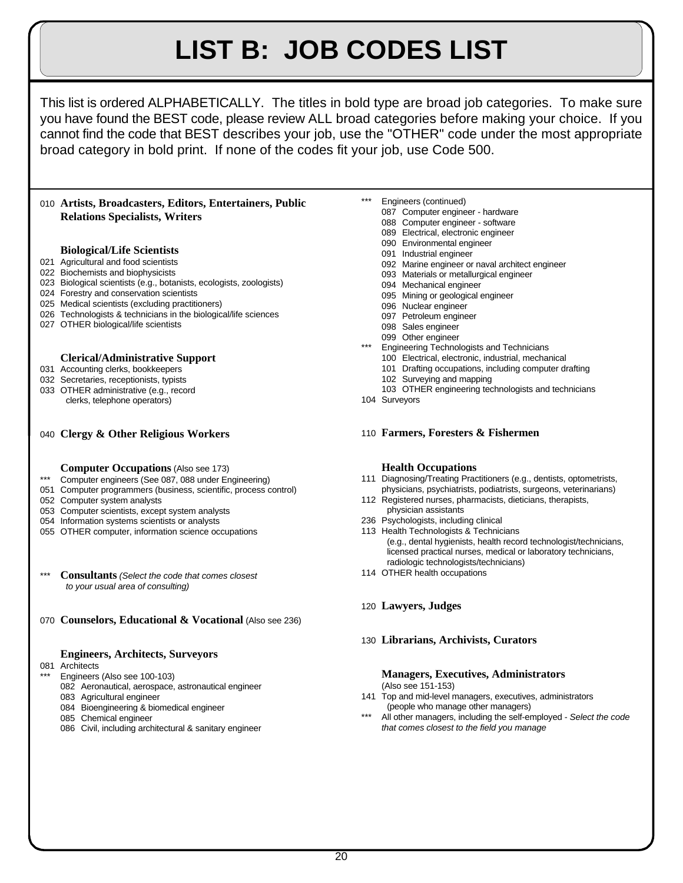# **LIST B: JOB CODES LIST**

This list is ordered ALPHABETICALLY. The titles in bold type are broad job categories. To make sure you have found the BEST code, please review ALL broad categories before making your choice. If you cannot find the code that BEST describes your job, use the "OTHER" code under the most appropriate broad category in bold print. If none of the codes fit your job, use Code 500.

# **Artists, Broadcasters, Editors, Entertainers, Public Relations Specialists, Writers**

# **Biological/Life Scientists**

- Agricultural and food scientists
- Biochemists and biophysicists
- Biological scientists (e.g., botanists, ecologists, zoologists)
- Forestry and conservation scientists
- Medical scientists (excluding practitioners)
- Technologists & technicians in the biological/life sciences
- OTHER biological/life scientists

## **Clerical/Administrative Support**

- Accounting clerks, bookkeepers
- Secretaries, receptionists, typists
- OTHER administrative (e.g., record clerks, telephone operators)

# **Clergy & Other Religious Workers**

- **Computer Occupations** (Also see 173)
- \*\*\* Computer engineers (See 087, 088 under Engineering)
- Computer programmers (business, scientific, process control)
- Computer system analysts
- Computer scientists, except system analysts
- Information systems scientists or analysts
- OTHER computer, information science occupations
- \*\*\* **Consultants** *(Select the code that comes closest to your usual area of consulting)*
- **Counselors, Educational & Vocational** (Also see 236)

# **Engineers, Architects, Surveyors**

- Architects
	- Engineers (Also see 100-103)
	- Aeronautical, aerospace, astronautical engineer
	- Agricultural engineer
	- Bioengineering & biomedical engineer
	- Chemical engineer
	- Civil, including architectural & sanitary engineer
- Engineers (continued)
	- Computer engineer hardware
		- Computer engineer software
		- Electrical, electronic engineer
		- Environmental engineer
		- Industrial engineer
		- Marine engineer or naval architect engineer
		- Materials or metallurgical engineer
		- Mechanical engineer
		- Mining or geological engineer
		- Nuclear engineer
		- Petroleum engineer
		- Sales engineer
		- Other engineer
	- Engineering Technologists and Technicians
		- Electrical, electronic, industrial, mechanical
		- Drafting occupations, including computer drafting
		- Surveying and mapping
		- OTHER engineering technologists and technicians
- Surveyors

## **Farmers, Foresters & Fishermen**

### **Health Occupations**

- Diagnosing/Treating Practitioners (e.g., dentists, optometrists, physicians, psychiatrists, podiatrists, surgeons, veterinarians)
- Registered nurses, pharmacists, dieticians, therapists, physician assistants
- Psychologists, including clinical
- Health Technologists & Technicians (e.g., dental hygienists, health record technologist/technicians, licensed practical nurses, medical or laboratory technicians, radiologic technologists/technicians)
- OTHER health occupations
- **Lawyers, Judges**

## **Librarians, Archivists, Curators**

### **Managers, Executives, Administrators** (Also see 151-153)

- Top and mid-level managers, executives, administrators (people who manage other managers)
- All other managers, including the self-employed Select the code *that comes closest to the field you manage*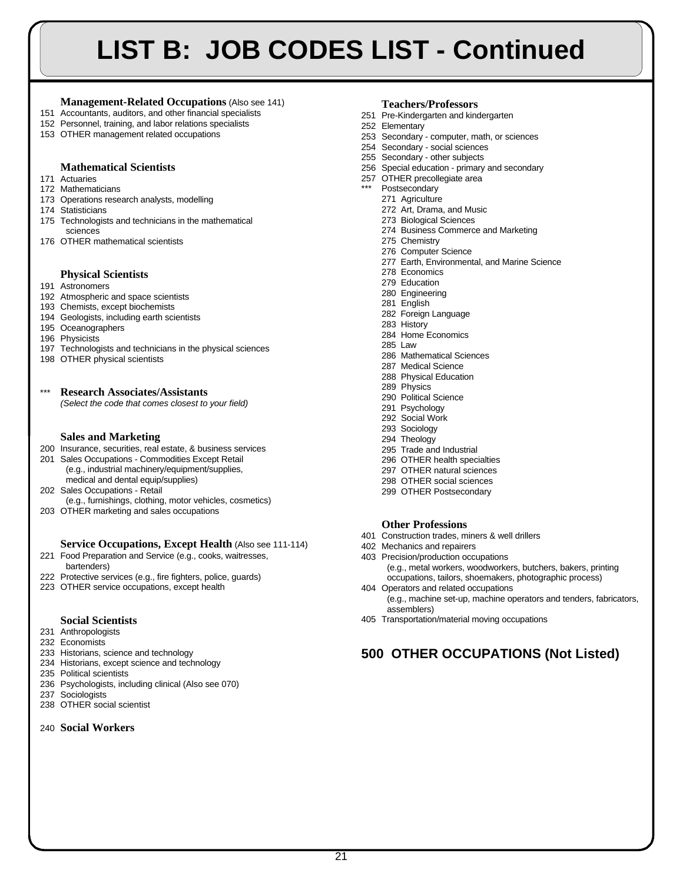# **LIST B: JOB CODES LIST - Continued**

# **Management-Related Occupations** (Also see 141)

- 151 Accountants, auditors, and other financial specialists
- 152 Personnel, training, and labor relations specialists
- 153 OTHER management related occupations

# **Mathematical Scientists**

### 171 Actuaries

- 172 Mathematicians
- 173 Operations research analysts, modelling
- 174 Statisticians
- 175 Technologists and technicians in the mathematical sciences
- 176 OTHER mathematical scientists

# **Physical Scientists**

- 191 Astronomers
- 192 Atmospheric and space scientists
- 193 Chemists, except biochemists
- 194 Geologists, including earth scientists
- 195 Oceanographers
- 196 Physicists
- 197 Technologists and technicians in the physical sciences
- 198 OTHER physical scientists

# \*\*\* **Research Associates/Assistants**

*(Select the code that comes closest to your field)*

# **Sales and Marketing**

- 200 Insurance, securities, real estate, & business services
- 201 Sales Occupations Commodities Except Retail (e.g., industrial machinery/equipment/supplies,
- medical and dental equip/supplies)
- 202 Sales Occupations Retail
- (e.g., furnishings, clothing, motor vehicles, cosmetics)
- 203 OTHER marketing and sales occupations

# **Service Occupations, Except Health** (Also see 111-114)

- 221 Food Preparation and Service (e.g., cooks, waitresses, bartenders)
- 222 Protective services (e.g., fire fighters, police, guards)
- 223 OTHER service occupations, except health

# **Social Scientists**

- 231 Anthropologists
- 232 Economists
- 233 Historians, science and technology
- 234 Historians, except science and technology
- 235 Political scientists
- 236 Psychologists, including clinical (Also see 070) 237 Sociologists
- 238 OTHER social scientist

# 240 **Social Workers**

# **Teachers/Professors**

- 251 Pre-Kindergarten and kindergarten
- 252 Elementary
- 253 Secondary computer, math, or sciences
- 254 Secondary social sciences
- 255 Secondary other subjects
- 256 Special education primary and secondary
- 257 OTHER precollegiate area
	- Postsecondary
		- 271 Agriculture
		- 272 Art, Drama, and Music
		- 273 Biological Sciences 274 Business Commerce and Marketing
		- 275 Chemistry
		- 276 Computer Science
		- 277 Earth, Environmental, and Marine Science
		- 278 Economics
		- 279 Education
		- 280 Engineering
		- 281 English
		- 282 Foreign Language
		- 283 History
		- 284 Home Economics
		- 285 Law
		- 286 Mathematical Sciences
		- 287 Medical Science
		- 288 Physical Education
		- 289 Physics
		- 290 Political Science
		- 291 Psychology
		- 292 Social Work
		- 293 Sociology
		- 294 Theology
		- 295 Trade and Industrial
		- 296 OTHER health specialties
		- 297 OTHER natural sciences
		- 298 OTHER social sciences 299 OTHER Postsecondary
		-

# **Other Professions**

- 401 Construction trades, miners & well drillers
- 402 Mechanics and repairers
- 403 Precision/production occupations
- (e.g., metal workers, woodworkers, butchers, bakers, printing occupations, tailors, shoemakers, photographic process) 404 Operators and related occupations
- (e.g., machine set-up, machine operators and tenders, fabricators, assemblers)
- 405 Transportation/material moving occupations

# **500 OTHER OCCUPATIONS (Not Listed)**